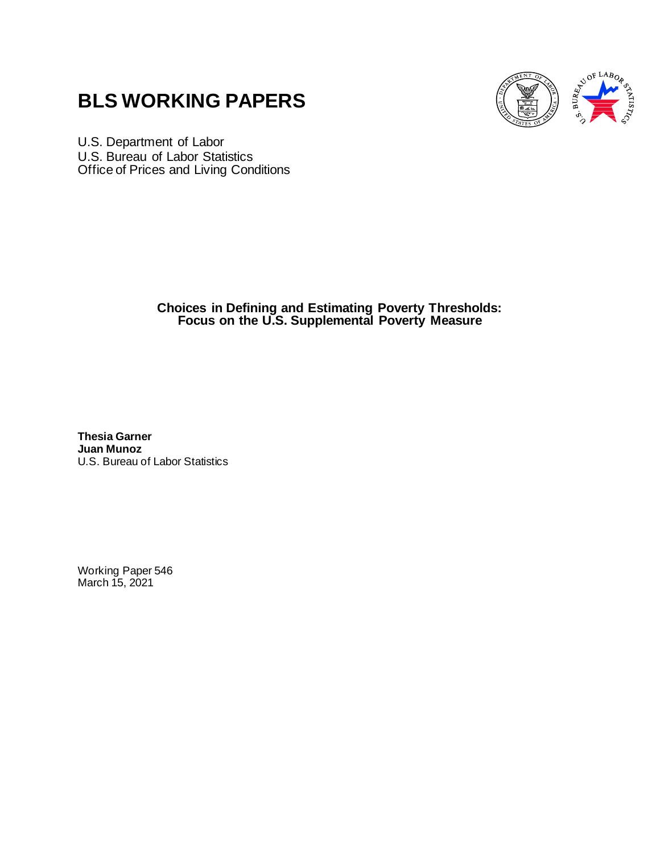# **BLS WORKING PAPERS**



U.S. Department of Labor U.S. Bureau of Labor Statistics Office of Prices and Living Conditions

> **Choices in Defining and Estimating Poverty Thresholds: Focus on the U.S. Supplemental Poverty Measure**

**Thesia Garner Juan Munoz** U.S. Bureau of Labor Statistics

Working Paper 546 March 15, 2021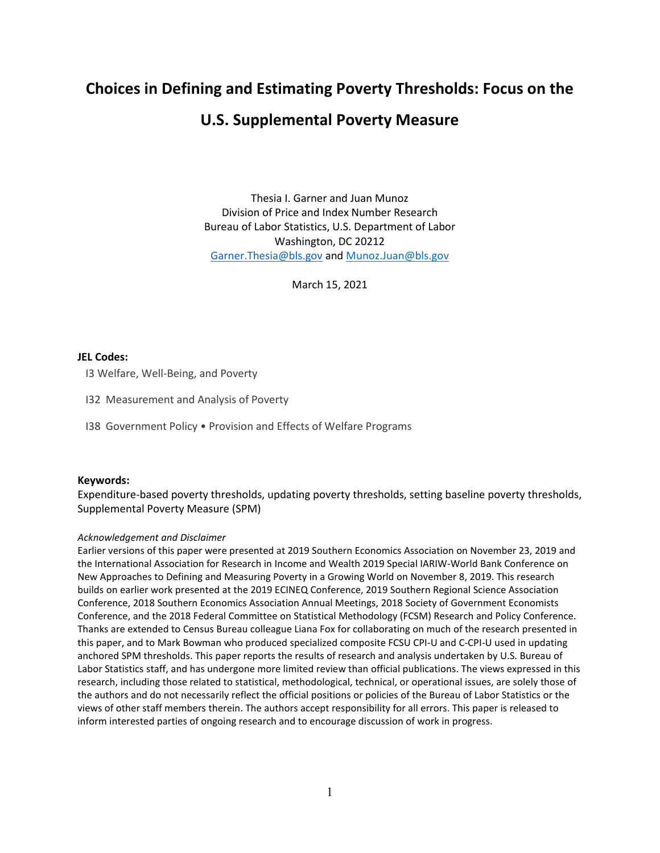# **Choices in Defining and Estimating Poverty Thresholds: Focus on the**

# **U.S. Supplemental Poverty Measure**

Thesia I. Garner and Juan Munoz Division of Price and Index Number Research Bureau of Labor Statistics, U.S. Department of Labor Washington, DC 20212 [Garner.Thesia@bls.gov](mailto:Garner.Thesia@bls.gov) and Munoz.Juan@bls.gov

March 15, 2021

# **JEL Codes:**

I3 Welfare, Well-Being, and Poverty

I32 Measurement and Analysis of Poverty

I38 Government Policy • Provision and Effects of Welfare Programs

# **Keywords:**

Expenditure-based poverty thresholds, updating poverty thresholds, setting baseline poverty thresholds, Supplemental Poverty Measure (SPM)

### *Acknowledgement and Disclaimer*

Earlier versions of this paper were presented at 2019 Southern Economics Association on November 23, 2019 and the International Association for Research in Income and Wealth 2019 Special IARIW-World Bank Conference on New Approaches to Defining and Measuring Poverty in a Growing World on November 8, 2019. This research builds on earlier work presented at the 2019 ECINEQ Conference, 2019 Southern Regional Science Association Conference, 2018 Southern Economics Association Annual Meetings, 2018 Society of Government Economists Conference, and the 2018 Federal Committee on Statistical Methodology (FCSM) Research and Policy Conference. Thanks are extended to Census Bureau colleague Liana Fox for collaborating on much of the research presented in this paper, and to Mark Bowman who produced specialized composite FCSU CPI-U and C-CPI-U used in updating anchored SPM thresholds. This paper reports the results of research and analysis undertaken by U.S. Bureau of Labor Statistics staff, and has undergone more limited review than official publications. The views expressed in this research, including those related to statistical, methodological, technical, or operational issues, are solely those of the authors and do not necessarily reflect the official positions or policies of the Bureau of Labor Statistics or the views of other staff members therein. The authors accept responsibility for all errors. This paper is released to inform interested parties of ongoing research and to encourage discussion of work in progress.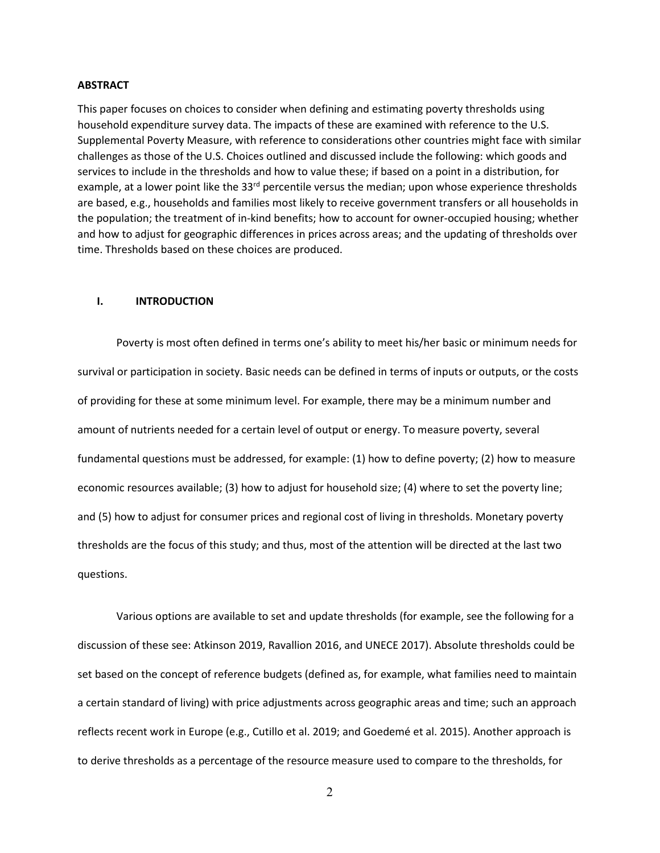#### **ABSTRACT**

This paper focuses on choices to consider when defining and estimating poverty thresholds using household expenditure survey data. The impacts of these are examined with reference to the U.S. Supplemental Poverty Measure, with reference to considerations other countries might face with similar challenges as those of the U.S. Choices outlined and discussed include the following: which goods and services to include in the thresholds and how to value these; if based on a point in a distribution, for example, at a lower point like the 33<sup>rd</sup> percentile versus the median; upon whose experience thresholds are based, e.g., households and families most likely to receive government transfers or all households in the population; the treatment of in-kind benefits; how to account for owner-occupied housing; whether and how to adjust for geographic differences in prices across areas; and the updating of thresholds over time. Thresholds based on these choices are produced.

#### **I. INTRODUCTION**

Poverty is most often defined in terms one's ability to meet his/her basic or minimum needs for survival or participation in society. Basic needs can be defined in terms of inputs or outputs, or the costs of providing for these at some minimum level. For example, there may be a minimum number and amount of nutrients needed for a certain level of output or energy. To measure poverty, several fundamental questions must be addressed, for example: (1) how to define poverty; (2) how to measure economic resources available; (3) how to adjust for household size; (4) where to set the poverty line; and (5) how to adjust for consumer prices and regional cost of living in thresholds. Monetary poverty thresholds are the focus of this study; and thus, most of the attention will be directed at the last two questions.

Various options are available to set and update thresholds (for example, see the following for a discussion of these see: Atkinson 2019, Ravallion 2016, and UNECE 2017). Absolute thresholds could be set based on the concept of reference budgets (defined as, for example, what families need to maintain a certain standard of living) with price adjustments across geographic areas and time; such an approach reflects recent work in Europe (e.g., Cutillo et al. 2019; and Goedemé et al. 2015). Another approach is to derive thresholds as a percentage of the resource measure used to compare to the thresholds, for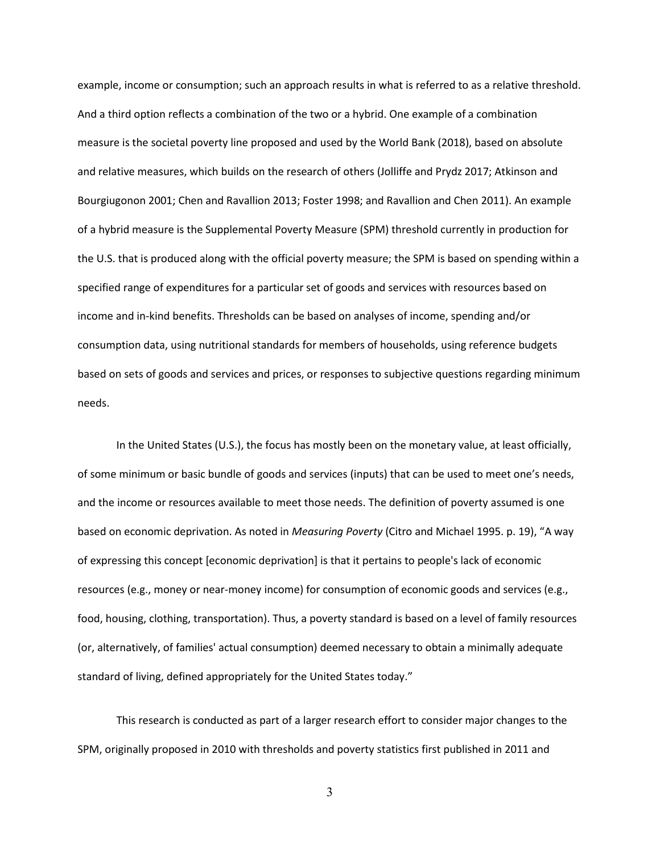example, income or consumption; such an approach results in what is referred to as a relative threshold. And a third option reflects a combination of the two or a hybrid. One example of a combination measure is the societal poverty line proposed and used by the World Bank (2018), based on absolute and relative measures, which builds on the research of others (Jolliffe and Prydz 2017; Atkinson and Bourgiugonon 2001; Chen and Ravallion 2013; Foster 1998; and Ravallion and Chen 2011). An example of a hybrid measure is the Supplemental Poverty Measure (SPM) threshold currently in production for the U.S. that is produced along with the official poverty measure; the SPM is based on spending within a specified range of expenditures for a particular set of goods and services with resources based on income and in-kind benefits. Thresholds can be based on analyses of income, spending and/or consumption data, using nutritional standards for members of households, using reference budgets based on sets of goods and services and prices, or responses to subjective questions regarding minimum needs.

In the United States (U.S.), the focus has mostly been on the monetary value, at least officially, of some minimum or basic bundle of goods and services (inputs) that can be used to meet one's needs, and the income or resources available to meet those needs. The definition of poverty assumed is one based on economic deprivation. As noted in *Measuring Poverty* (Citro and Michael 1995. p. 19), "A way of expressing this concept [economic deprivation] is that it pertains to people's lack of economic resources (e.g., money or near-money income) for consumption of economic goods and services (e.g., food, housing, clothing, transportation). Thus, a poverty standard is based on a level of family resources (or, alternatively, of families' actual consumption) deemed necessary to obtain a minimally adequate standard of living, defined appropriately for the United States today."

This research is conducted as part of a larger research effort to consider major changes to the SPM, originally proposed in 2010 with thresholds and poverty statistics first published in 2011 and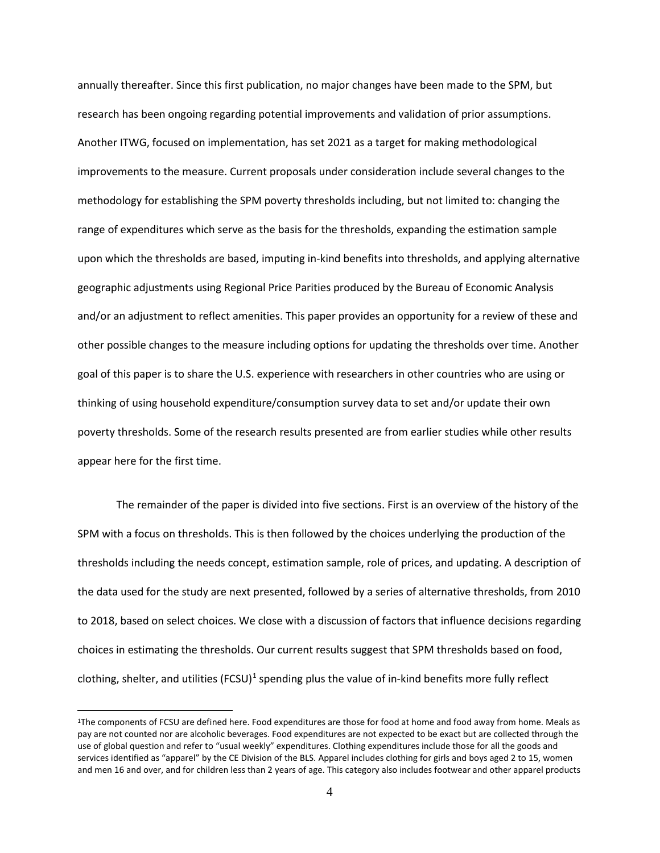annually thereafter. Since this first publication, no major changes have been made to the SPM, but research has been ongoing regarding potential improvements and validation of prior assumptions. Another ITWG, focused on implementation, has set 2021 as a target for making methodological improvements to the measure. Current proposals under consideration include several changes to the methodology for establishing the SPM poverty thresholds including, but not limited to: changing the range of expenditures which serve as the basis for the thresholds, expanding the estimation sample upon which the thresholds are based, imputing in-kind benefits into thresholds, and applying alternative geographic adjustments using Regional Price Parities produced by the Bureau of Economic Analysis and/or an adjustment to reflect amenities. This paper provides an opportunity for a review of these and other possible changes to the measure including options for updating the thresholds over time. Another goal of this paper is to share the U.S. experience with researchers in other countries who are using or thinking of using household expenditure/consumption survey data to set and/or update their own poverty thresholds. Some of the research results presented are from earlier studies while other results appear here for the first time.

The remainder of the paper is divided into five sections. First is an overview of the history of the SPM with a focus on thresholds. This is then followed by the choices underlying the production of the thresholds including the needs concept, estimation sample, role of prices, and updating. A description of the data used for the study are next presented, followed by a series of alternative thresholds, from 2010 to 2018, based on select choices. We close with a discussion of factors that influence decisions regarding choices in estimating the thresholds. Our current results suggest that SPM thresholds based on food, clothing, shelter, and utilities (FCSU)<sup>1</sup> spending plus the value of in-kind benefits more fully reflect

<span id="page-4-0"></span><sup>1</sup>The components of FCSU are defined here. Food expenditures are those for food at home and food away from home. Meals as pay are not counted nor are alcoholic beverages. Food expenditures are not expected to be exact but are collected through the use of global question and refer to "usual weekly" expenditures. Clothing expenditures include those for all the goods and services identified as "apparel" by the CE Division of the BLS. Apparel includes clothing for girls and boys aged 2 to 15, women and men 16 and over, and for children less than 2 years of age. This category also includes footwear and other apparel products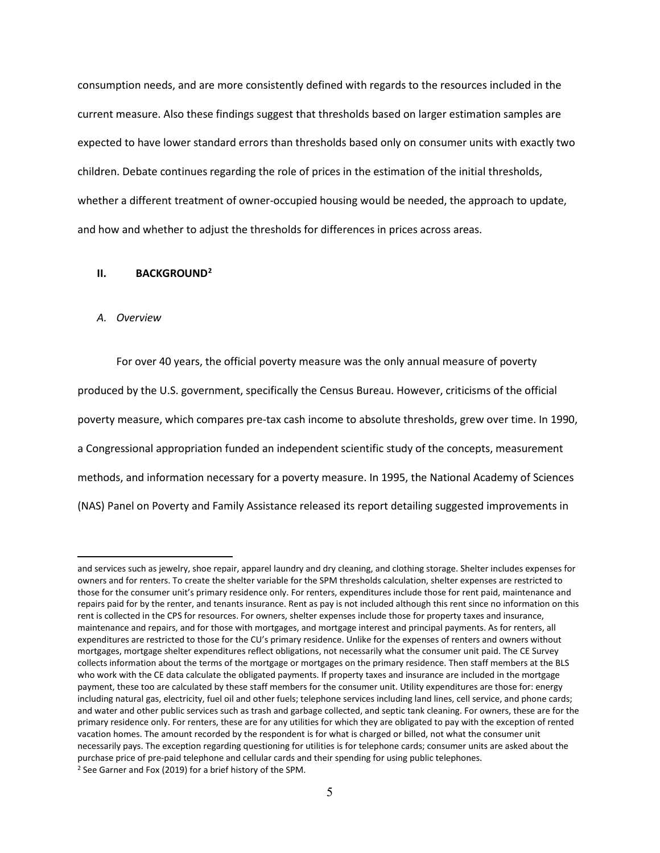consumption needs, and are more consistently defined with regards to the resources included in the current measure. Also these findings suggest that thresholds based on larger estimation samples are expected to have lower standard errors than thresholds based only on consumer units with exactly two children. Debate continues regarding the role of prices in the estimation of the initial thresholds, whether a different treatment of owner-occupied housing would be needed, the approach to update, and how and whether to adjust the thresholds for differences in prices across areas.

#### **II. BACKGROUND[2](#page-5-0)**

#### *A. Overview*

For over 40 years, the official poverty measure was the only annual measure of poverty produced by the U.S. government, specifically the Census Bureau. However, criticisms of the official poverty measure, which compares pre-tax cash income to absolute thresholds, grew over time. In 1990, a Congressional appropriation funded an independent scientific study of the concepts, measurement methods, and information necessary for a poverty measure. In 1995, the National Academy of Sciences (NAS) Panel on Poverty and Family Assistance released its report detailing suggested improvements in

<span id="page-5-0"></span>and services such as jewelry, shoe repair, apparel laundry and dry cleaning, and clothing storage. Shelter includes expenses for owners and for renters. To create the shelter variable for the SPM thresholds calculation, shelter expenses are restricted to those for the consumer unit's primary residence only. For renters, expenditures include those for rent paid, maintenance and repairs paid for by the renter, and tenants insurance. Rent as pay is not included although this rent since no information on this rent is collected in the CPS for resources. For owners, shelter expenses include those for property taxes and insurance, maintenance and repairs, and for those with mortgages, and mortgage interest and principal payments. As for renters, all expenditures are restricted to those for the CU's primary residence. Unlike for the expenses of renters and owners without mortgages, mortgage shelter expenditures reflect obligations, not necessarily what the consumer unit paid. The CE Survey collects information about the terms of the mortgage or mortgages on the primary residence. Then staff members at the BLS who work with the CE data calculate the obligated payments. If property taxes and insurance are included in the mortgage payment, these too are calculated by these staff members for the consumer unit. Utility expenditures are those for: energy including natural gas, electricity, fuel oil and other fuels; telephone services including land lines, cell service, and phone cards; and water and other public services such as trash and garbage collected, and septic tank cleaning. For owners, these are for the primary residence only. For renters, these are for any utilities for which they are obligated to pay with the exception of rented vacation homes. The amount recorded by the respondent is for what is charged or billed, not what the consumer unit necessarily pays. The exception regarding questioning for utilities is for telephone cards; consumer units are asked about the purchase price of pre-paid telephone and cellular cards and their spending for using public telephones. <sup>2</sup> See Garner and Fox (2019) for a brief history of the SPM.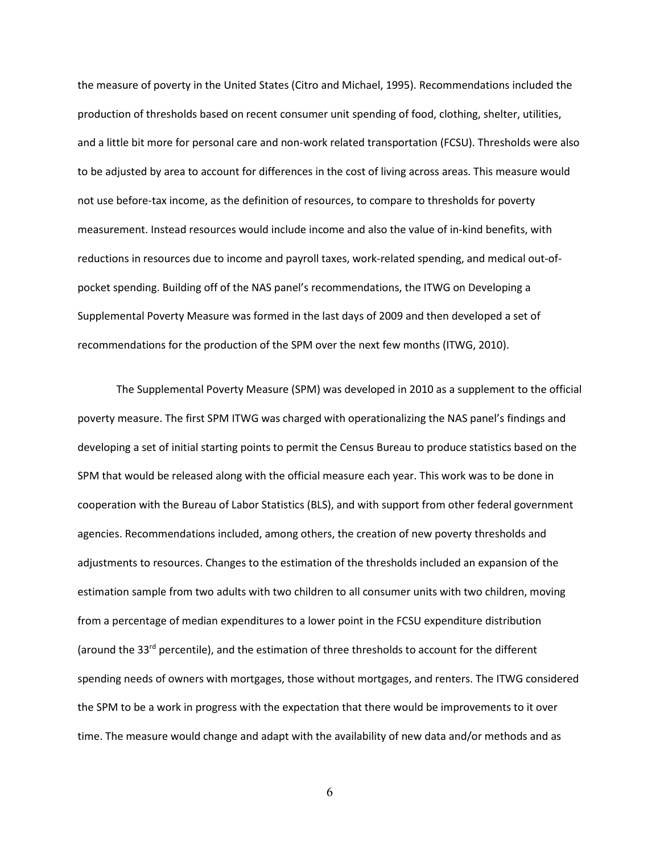the measure of poverty in the United States (Citro and Michael, 1995). Recommendations included the production of thresholds based on recent consumer unit spending of food, clothing, shelter, utilities, and a little bit more for personal care and non-work related transportation (FCSU). Thresholds were also to be adjusted by area to account for differences in the cost of living across areas. This measure would not use before-tax income, as the definition of resources, to compare to thresholds for poverty measurement. Instead resources would include income and also the value of in-kind benefits, with reductions in resources due to income and payroll taxes, work-related spending, and medical out-ofpocket spending. Building off of the NAS panel's recommendations, the ITWG on Developing a Supplemental Poverty Measure was formed in the last days of 2009 and then developed a set of recommendations for the production of the SPM over the next few months (ITWG, 2010).

The Supplemental Poverty Measure (SPM) was developed in 2010 as a supplement to the official poverty measure. The first SPM ITWG was charged with operationalizing the NAS panel's findings and developing a set of initial starting points to permit the Census Bureau to produce statistics based on the SPM that would be released along with the official measure each year. This work was to be done in cooperation with the Bureau of Labor Statistics (BLS), and with support from other federal government agencies. Recommendations included, among others, the creation of new poverty thresholds and adjustments to resources. Changes to the estimation of the thresholds included an expansion of the estimation sample from two adults with two children to all consumer units with two children, moving from a percentage of median expenditures to a lower point in the FCSU expenditure distribution (around the  $33<sup>rd</sup>$  percentile), and the estimation of three thresholds to account for the different spending needs of owners with mortgages, those without mortgages, and renters. The ITWG considered the SPM to be a work in progress with the expectation that there would be improvements to it over time. The measure would change and adapt with the availability of new data and/or methods and as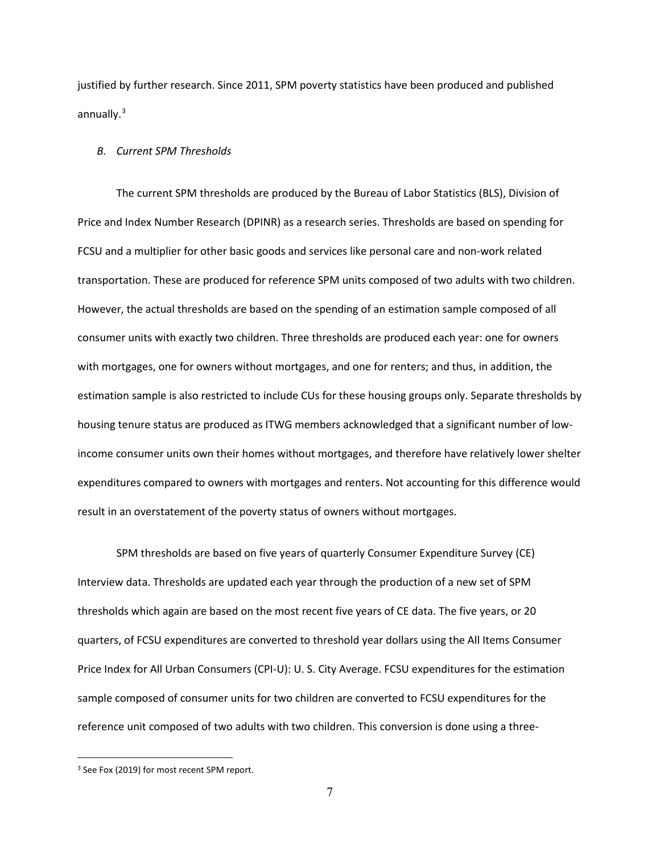justified by further research. Since 2011, SPM poverty statistics have been produced and published annually. $3$ 

#### *B. Current SPM Thresholds*

The current SPM thresholds are produced by the Bureau of Labor Statistics (BLS), Division of Price and Index Number Research (DPINR) as a research series. Thresholds are based on spending for FCSU and a multiplier for other basic goods and services like personal care and non-work related transportation. These are produced for reference SPM units composed of two adults with two children. However, the actual thresholds are based on the spending of an estimation sample composed of all consumer units with exactly two children. Three thresholds are produced each year: one for owners with mortgages, one for owners without mortgages, and one for renters; and thus, in addition, the estimation sample is also restricted to include CUs for these housing groups only. Separate thresholds by housing tenure status are produced as ITWG members acknowledged that a significant number of lowincome consumer units own their homes without mortgages, and therefore have relatively lower shelter expenditures compared to owners with mortgages and renters. Not accounting for this difference would result in an overstatement of the poverty status of owners without mortgages.

SPM thresholds are based on five years of quarterly Consumer Expenditure Survey (CE) Interview data. Thresholds are updated each year through the production of a new set of SPM thresholds which again are based on the most recent five years of CE data. The five years, or 20 quarters, of FCSU expenditures are converted to threshold year dollars using the All Items Consumer Price Index for All Urban Consumers (CPI-U): U. S. City Average. FCSU expenditures for the estimation sample composed of consumer units for two children are converted to FCSU expenditures for the reference unit composed of two adults with two children. This conversion is done using a three-

<span id="page-7-0"></span><sup>&</sup>lt;sup>3</sup> See Fox (2019) for most recent SPM report.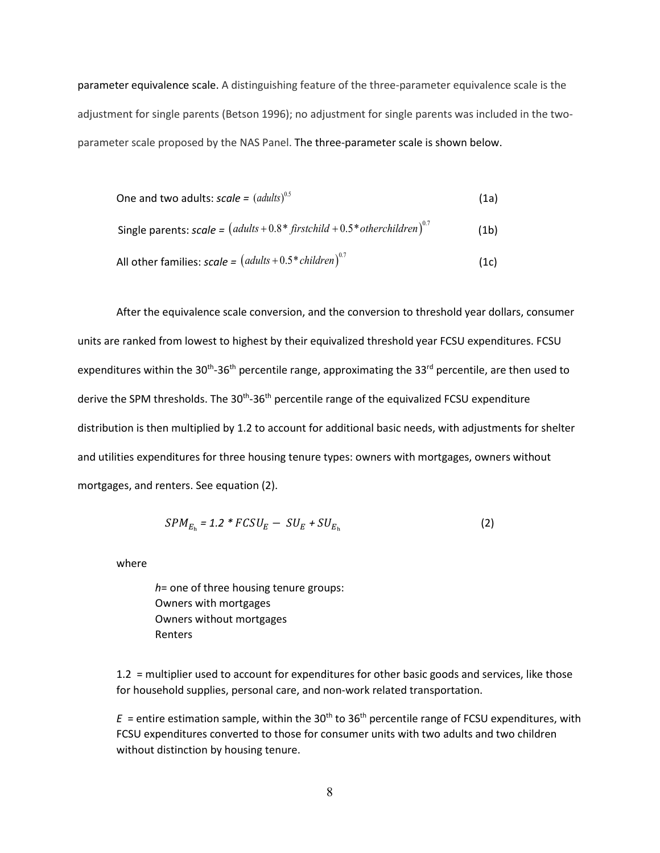parameter equivalence scale. A distinguishing feature of the three-parameter equivalence scale is the adjustment for single parents (Betson 1996); no adjustment for single parents was included in the twoparameter scale proposed by the NAS Panel. The three-parameter scale is shown below.

One and two adults: 
$$
scale = (adults)^{0.5}
$$
 (1a)

Single parents: 
$$
scale = (adults + 0.8 * firstchild + 0.5 * otherchildren)^{0.7}
$$
 (1b)

All other families: 
$$
scale = (adults + 0.5 * children)^{0.7}
$$
 (1c)

After the equivalence scale conversion, and the conversion to threshold year dollars, consumer units are ranked from lowest to highest by their equivalized threshold year FCSU expenditures. FCSU expenditures within the 30<sup>th</sup>-36<sup>th</sup> percentile range, approximating the 33<sup>rd</sup> percentile, are then used to derive the SPM thresholds. The 30<sup>th</sup>-36<sup>th</sup> percentile range of the equivalized FCSU expenditure distribution is then multiplied by 1.2 to account for additional basic needs, with adjustments for shelter and utilities expenditures for three housing tenure types: owners with mortgages, owners without mortgages, and renters. See equation (2).

$$
SPM_{E_h} = 1.2 \cdot FCSU_E - SU_E + SU_{E_h}
$$
 (2)

where

 *h*= one of three housing tenure groups: Owners with mortgages Owners without mortgages Renters

1.2 = multiplier used to account for expenditures for other basic goods and services, like those for household supplies, personal care, and non-work related transportation.

 $E =$  entire estimation sample, within the 30<sup>th</sup> to 36<sup>th</sup> percentile range of FCSU expenditures, with FCSU expenditures converted to those for consumer units with two adults and two children without distinction by housing tenure.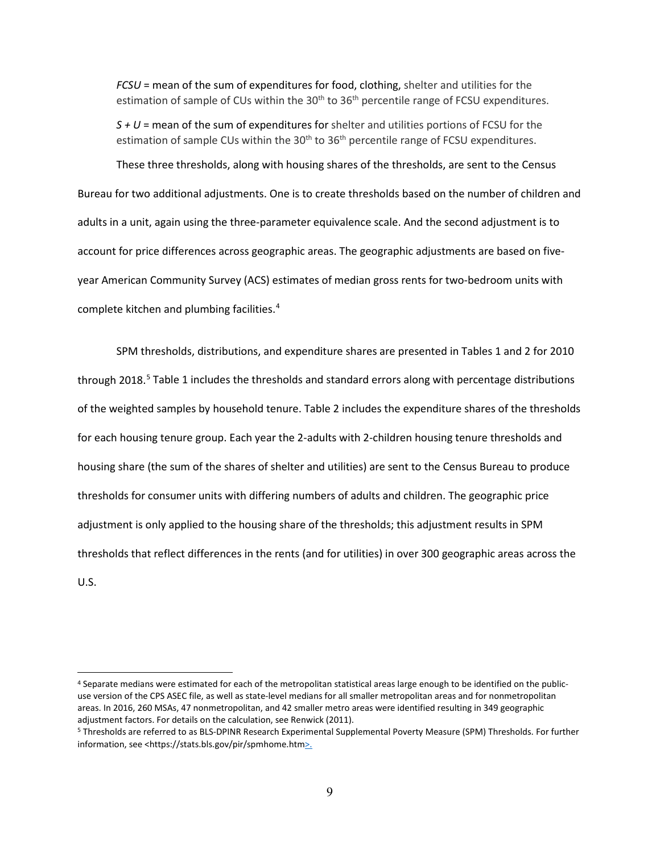*FCSU* = mean of the sum of expenditures for food, clothing, shelter and utilities for the estimation of sample of CUs within the  $30<sup>th</sup>$  to  $36<sup>th</sup>$  percentile range of FCSU expenditures.

*S + U* = mean of the sum of expenditures for shelter and utilities portions of FCSU for the estimation of sample CUs within the 30<sup>th</sup> to 36<sup>th</sup> percentile range of FCSU expenditures.

These three thresholds, along with housing shares of the thresholds, are sent to the Census Bureau for two additional adjustments. One is to create thresholds based on the number of children and adults in a unit, again using the three-parameter equivalence scale. And the second adjustment is to account for price differences across geographic areas. The geographic adjustments are based on fiveyear American Community Survey (ACS) estimates of median gross rents for two-bedroom units with complete kitchen and plumbing facilities.[4](#page-9-0)

SPM thresholds, distributions, and expenditure shares are presented in Tables 1 and 2 for 2010 through 2018.<sup>[5](#page-9-1)</sup> Table 1 includes the thresholds and standard errors along with percentage distributions of the weighted samples by household tenure. Table 2 includes the expenditure shares of the thresholds for each housing tenure group. Each year the 2-adults with 2-children housing tenure thresholds and housing share (the sum of the shares of shelter and utilities) are sent to the Census Bureau to produce thresholds for consumer units with differing numbers of adults and children. The geographic price adjustment is only applied to the housing share of the thresholds; this adjustment results in SPM thresholds that reflect differences in the rents (and for utilities) in over 300 geographic areas across the U.S.

<span id="page-9-0"></span><sup>4</sup> Separate medians were estimated for each of the metropolitan statistical areas large enough to be identified on the publicuse version of the CPS ASEC file, as well as state-level medians for all smaller metropolitan areas and for nonmetropolitan areas. In 2016, 260 MSAs, 47 nonmetropolitan, and 42 smaller metro areas were identified resulting in 349 geographic adjustment factors. For details on the calculation, see Renwick (2011).

<span id="page-9-1"></span><sup>5</sup> Thresholds are referred to as BLS-DPINR Research Experimental Supplemental Poverty Measure (SPM) Thresholds. For further information, see <https://stats.bls.gov/pir/spmhome.htm>.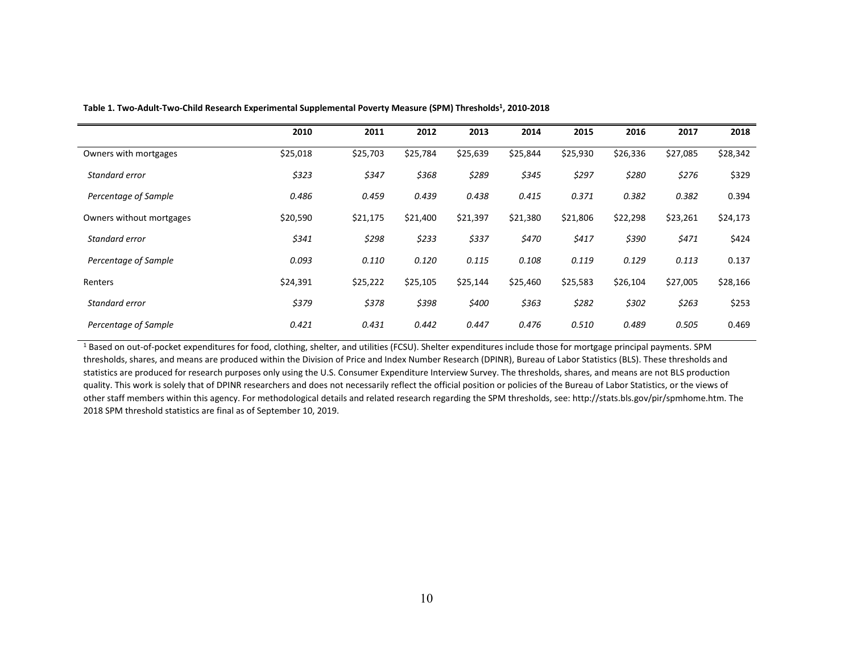|                          | 2010     | 2011     | 2012     | 2013     | 2014     | 2015     | 2016     | 2017     | 2018     |
|--------------------------|----------|----------|----------|----------|----------|----------|----------|----------|----------|
| Owners with mortgages    | \$25,018 | \$25,703 | \$25,784 | \$25,639 | \$25,844 | \$25,930 | \$26,336 | \$27,085 | \$28,342 |
| Standard error           | \$323    | \$347    | \$368    | \$289    | \$345    | \$297    | \$280    | \$276    | \$329    |
| Percentage of Sample     | 0.486    | 0.459    | 0.439    | 0.438    | 0.415    | 0.371    | 0.382    | 0.382    | 0.394    |
| Owners without mortgages | \$20,590 | \$21,175 | \$21,400 | \$21,397 | \$21,380 | \$21,806 | \$22,298 | \$23,261 | \$24,173 |
| Standard error           | \$341    | \$298    | \$233    | \$337    | \$470    | \$417    | \$390    | \$471    | \$424    |
| Percentage of Sample     | 0.093    | 0.110    | 0.120    | 0.115    | 0.108    | 0.119    | 0.129    | 0.113    | 0.137    |
| Renters                  | \$24,391 | \$25,222 | \$25,105 | \$25,144 | \$25,460 | \$25,583 | \$26,104 | \$27,005 | \$28,166 |
| Standard error           | \$379    | \$378    | \$398    | \$400    | \$363    | \$282    | \$302    | \$263    | \$253    |
| Percentage of Sample     | 0.421    | 0.431    | 0.442    | 0.447    | 0.476    | 0.510    | 0.489    | 0.505    | 0.469    |

Table 1. Two-Adult-Two-Child Research Experimental Supplemental Poverty Measure (SPM) Thresholds<sup>1</sup>, 2010-2018

<sup>1</sup> Based on out-of-pocket expenditures for food, clothing, shelter, and utilities (FCSU). Shelter expenditures include those for mortgage principal payments. SPM thresholds, shares, and means are produced within the Division of Price and Index Number Research (DPINR), Bureau of Labor Statistics (BLS). These thresholds and statistics are produced for research purposes only using the U.S. Consumer Expenditure Interview Survey. The thresholds, shares, and means are not BLS production quality. This work is solely that of DPINR researchers and does not necessarily reflect the official position or policies of the Bureau of Labor Statistics, or the views of other staff members within this agency. For methodological details and related research regarding the SPM thresholds, see: http://stats.bls.gov/pir/spmhome.htm. The 2018 SPM threshold statistics are final as of September 10, 2019.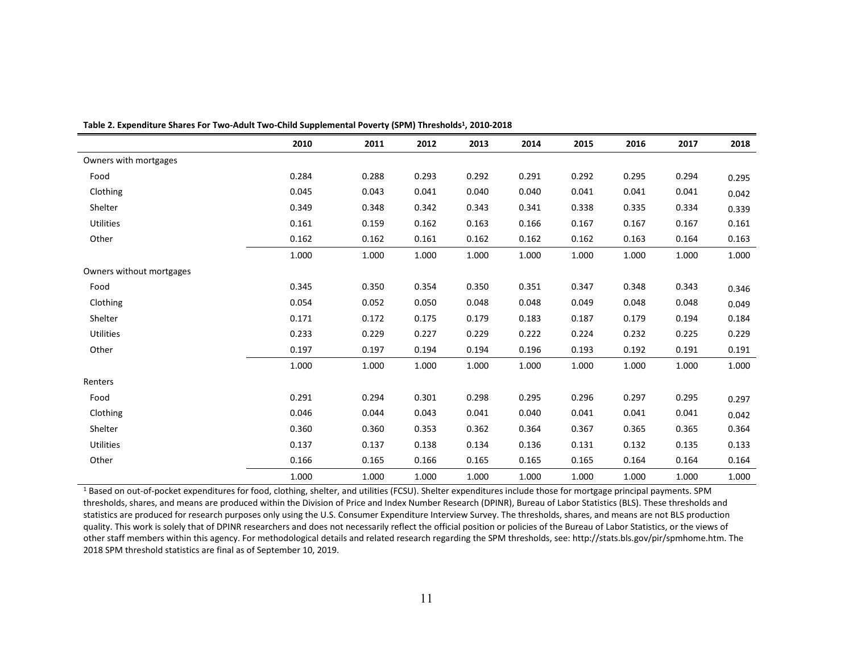|                          | 2010  | 2011  | 2012  | 2013  | 2014  | 2015  | 2016  | 2017  | 2018  |
|--------------------------|-------|-------|-------|-------|-------|-------|-------|-------|-------|
| Owners with mortgages    |       |       |       |       |       |       |       |       |       |
| Food                     | 0.284 | 0.288 | 0.293 | 0.292 | 0.291 | 0.292 | 0.295 | 0.294 | 0.295 |
| Clothing                 | 0.045 | 0.043 | 0.041 | 0.040 | 0.040 | 0.041 | 0.041 | 0.041 | 0.042 |
| Shelter                  | 0.349 | 0.348 | 0.342 | 0.343 | 0.341 | 0.338 | 0.335 | 0.334 | 0.339 |
| <b>Utilities</b>         | 0.161 | 0.159 | 0.162 | 0.163 | 0.166 | 0.167 | 0.167 | 0.167 | 0.161 |
| Other                    | 0.162 | 0.162 | 0.161 | 0.162 | 0.162 | 0.162 | 0.163 | 0.164 | 0.163 |
|                          | 1.000 | 1.000 | 1.000 | 1.000 | 1.000 | 1.000 | 1.000 | 1.000 | 1.000 |
| Owners without mortgages |       |       |       |       |       |       |       |       |       |
| Food                     | 0.345 | 0.350 | 0.354 | 0.350 | 0.351 | 0.347 | 0.348 | 0.343 | 0.346 |
| Clothing                 | 0.054 | 0.052 | 0.050 | 0.048 | 0.048 | 0.049 | 0.048 | 0.048 | 0.049 |
| Shelter                  | 0.171 | 0.172 | 0.175 | 0.179 | 0.183 | 0.187 | 0.179 | 0.194 | 0.184 |
| Utilities                | 0.233 | 0.229 | 0.227 | 0.229 | 0.222 | 0.224 | 0.232 | 0.225 | 0.229 |
| Other                    | 0.197 | 0.197 | 0.194 | 0.194 | 0.196 | 0.193 | 0.192 | 0.191 | 0.191 |
|                          | 1.000 | 1.000 | 1.000 | 1.000 | 1.000 | 1.000 | 1.000 | 1.000 | 1.000 |
| Renters                  |       |       |       |       |       |       |       |       |       |
| Food                     | 0.291 | 0.294 | 0.301 | 0.298 | 0.295 | 0.296 | 0.297 | 0.295 | 0.297 |
| Clothing                 | 0.046 | 0.044 | 0.043 | 0.041 | 0.040 | 0.041 | 0.041 | 0.041 | 0.042 |
| Shelter                  | 0.360 | 0.360 | 0.353 | 0.362 | 0.364 | 0.367 | 0.365 | 0.365 | 0.364 |
| <b>Utilities</b>         | 0.137 | 0.137 | 0.138 | 0.134 | 0.136 | 0.131 | 0.132 | 0.135 | 0.133 |
| Other                    | 0.166 | 0.165 | 0.166 | 0.165 | 0.165 | 0.165 | 0.164 | 0.164 | 0.164 |
|                          | 1.000 | 1.000 | 1.000 | 1.000 | 1.000 | 1.000 | 1.000 | 1.000 | 1.000 |

**Table 2. Expenditure Shares For Two-Adult Two-Child Supplemental Poverty (SPM) Thresholds1, 2010-2018**

<sup>1</sup> Based on out-of-pocket expenditures for food, clothing, shelter, and utilities (FCSU). Shelter expenditures include those for mortgage principal payments. SPM thresholds, shares, and means are produced within the Division of Price and Index Number Research (DPINR), Bureau of Labor Statistics (BLS). These thresholds and statistics are produced for research purposes only using the U.S. Consumer Expenditure Interview Survey. The thresholds, shares, and means are not BLS production quality. This work is solely that of DPINR researchers and does not necessarily reflect the official position or policies of the Bureau of Labor Statistics, or the views of other staff members within this agency. For methodological details and related research regarding the SPM thresholds, see: http://stats.bls.gov/pir/spmhome.htm. The 2018 SPM threshold statistics are final as of September 10, 2019.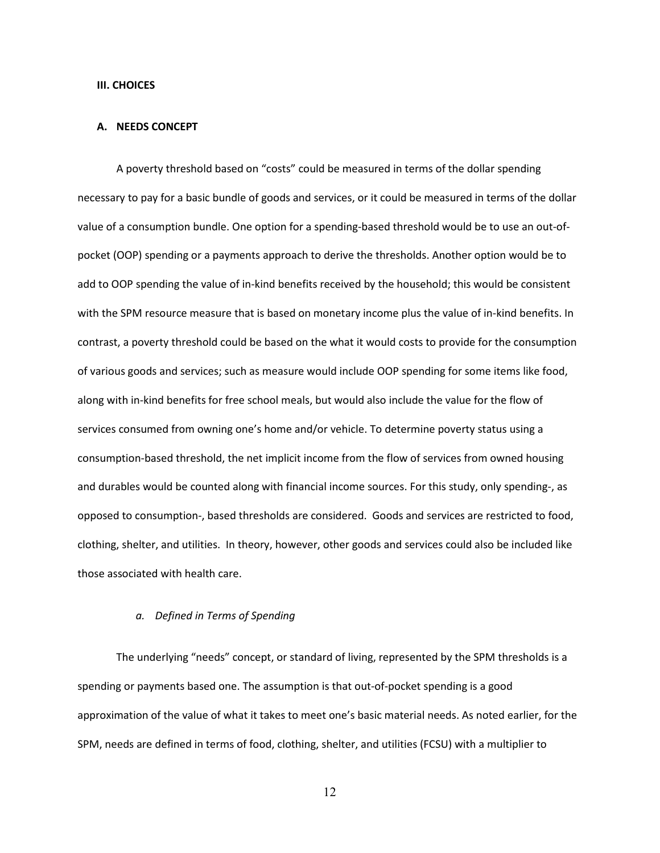#### **III. CHOICES**

#### **A. NEEDS CONCEPT**

A poverty threshold based on "costs" could be measured in terms of the dollar spending necessary to pay for a basic bundle of goods and services, or it could be measured in terms of the dollar value of a consumption bundle. One option for a spending-based threshold would be to use an out-ofpocket (OOP) spending or a payments approach to derive the thresholds. Another option would be to add to OOP spending the value of in-kind benefits received by the household; this would be consistent with the SPM resource measure that is based on monetary income plus the value of in-kind benefits. In contrast, a poverty threshold could be based on the what it would costs to provide for the consumption of various goods and services; such as measure would include OOP spending for some items like food, along with in-kind benefits for free school meals, but would also include the value for the flow of services consumed from owning one's home and/or vehicle. To determine poverty status using a consumption-based threshold, the net implicit income from the flow of services from owned housing and durables would be counted along with financial income sources. For this study, only spending-, as opposed to consumption-, based thresholds are considered. Goods and services are restricted to food, clothing, shelter, and utilities. In theory, however, other goods and services could also be included like those associated with health care.

### *a. Defined in Terms of Spending*

The underlying "needs" concept, or standard of living, represented by the SPM thresholds is a spending or payments based one. The assumption is that out-of-pocket spending is a good approximation of the value of what it takes to meet one's basic material needs. As noted earlier, for the SPM, needs are defined in terms of food, clothing, shelter, and utilities (FCSU) with a multiplier to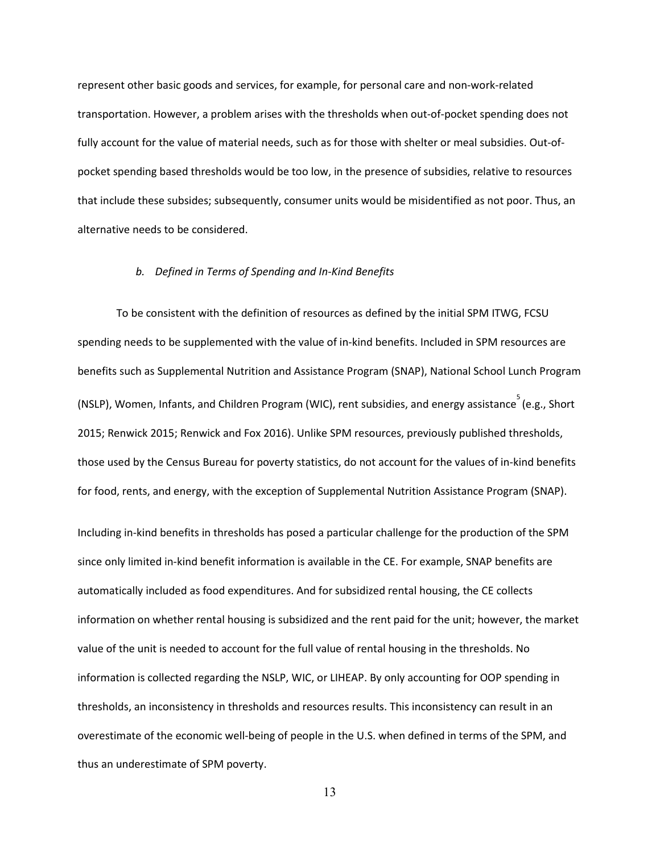represent other basic goods and services, for example, for personal care and non-work-related transportation. However, a problem arises with the thresholds when out-of-pocket spending does not fully account for the value of material needs, such as for those with shelter or meal subsidies. Out-ofpocket spending based thresholds would be too low, in the presence of subsidies, relative to resources that include these subsides; subsequently, consumer units would be misidentified as not poor. Thus, an alternative needs to be considered.

#### *b. Defined in Terms of Spending and In-Kind Benefits*

To be consistent with the definition of resources as defined by the initial SPM ITWG, FCSU spending needs to be supplemented with the value of in-kind benefits. Included in SPM resources are benefits such as Supplemental Nutrition and Assistance Program (SNAP), National School Lunch Program (NSLP), Women, Infants, and Children Program (WIC), rent subsidies, and energy assistance  $\overline{S}$  (e.g., Short 2015; Renwick 2015; Renwick and Fox 2016). Unlike SPM resources, previously published thresholds, those used by the Census Bureau for poverty statistics, do not account for the values of in-kind benefits for food, rents, and energy, with the exception of Supplemental Nutrition Assistance Program (SNAP).

Including in-kind benefits in thresholds has posed a particular challenge for the production of the SPM since only limited in-kind benefit information is available in the CE. For example, SNAP benefits are automatically included as food expenditures. And for subsidized rental housing, the CE collects information on whether rental housing is subsidized and the rent paid for the unit; however, the market value of the unit is needed to account for the full value of rental housing in the thresholds. No information is collected regarding the NSLP, WIC, or LIHEAP. By only accounting for OOP spending in thresholds, an inconsistency in thresholds and resources results. This inconsistency can result in an overestimate of the economic well-being of people in the U.S. when defined in terms of the SPM, and thus an underestimate of SPM poverty.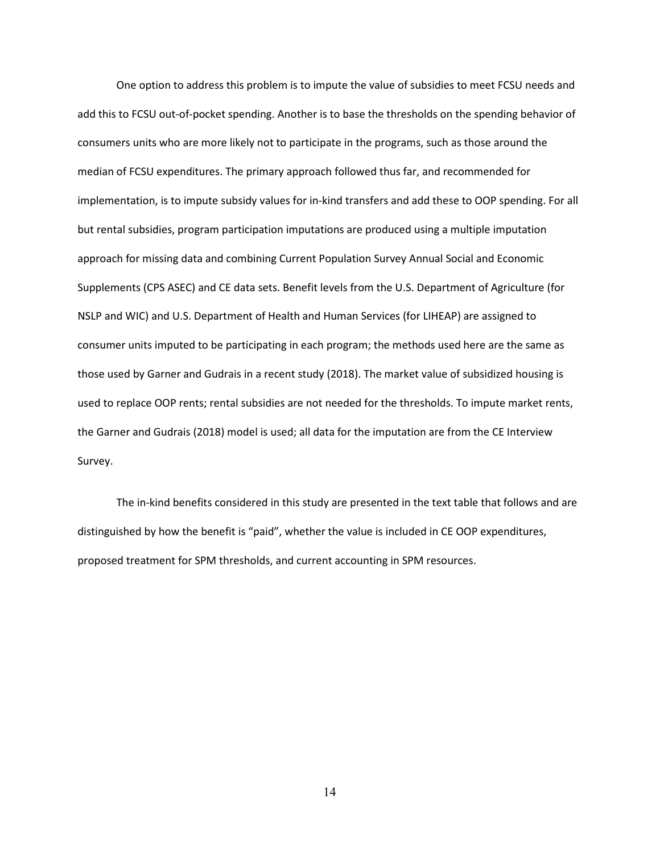One option to address this problem is to impute the value of subsidies to meet FCSU needs and add this to FCSU out-of-pocket spending. Another is to base the thresholds on the spending behavior of consumers units who are more likely not to participate in the programs, such as those around the median of FCSU expenditures. The primary approach followed thus far, and recommended for implementation, is to impute subsidy values for in-kind transfers and add these to OOP spending. For all but rental subsidies, program participation imputations are produced using a multiple imputation approach for missing data and combining Current Population Survey Annual Social and Economic Supplements (CPS ASEC) and CE data sets. Benefit levels from the U.S. Department of Agriculture (for NSLP and WIC) and U.S. Department of Health and Human Services (for LIHEAP) are assigned to consumer units imputed to be participating in each program; the methods used here are the same as those used by Garner and Gudrais in a recent study (2018). The market value of subsidized housing is used to replace OOP rents; rental subsidies are not needed for the thresholds. To impute market rents, the Garner and Gudrais (2018) model is used; all data for the imputation are from the CE Interview Survey.

The in-kind benefits considered in this study are presented in the text table that follows and are distinguished by how the benefit is "paid", whether the value is included in CE OOP expenditures, proposed treatment for SPM thresholds, and current accounting in SPM resources.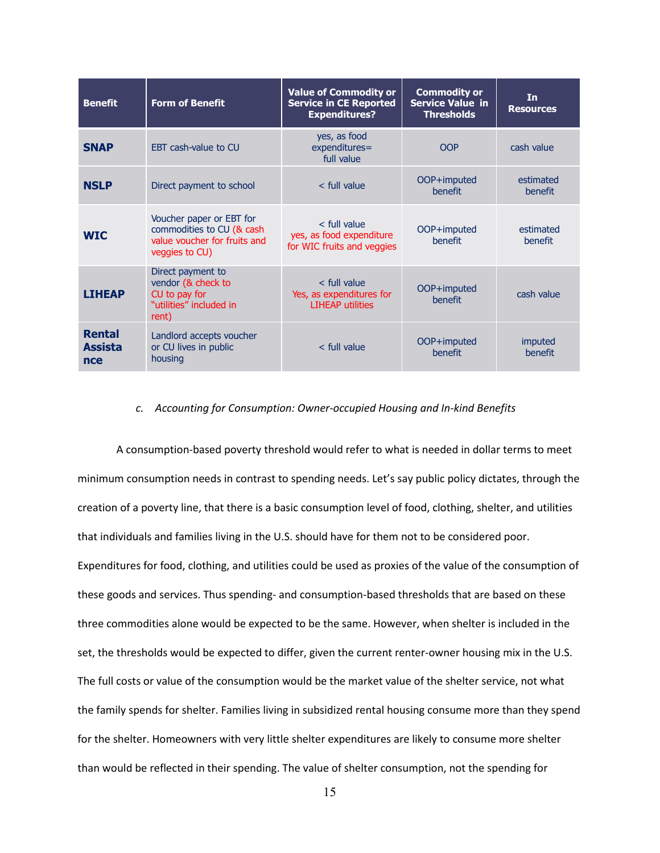| <b>Benefit</b>                         | <b>Form of Benefit</b>                                                                                  | <b>Value of Commodity or</b><br><b>Service in CE Reported</b><br><b>Expenditures?</b> | <b>Commodity or</b><br><b>Service Value in</b><br><b>Thresholds</b> | <b>In</b><br><b>Resources</b> |
|----------------------------------------|---------------------------------------------------------------------------------------------------------|---------------------------------------------------------------------------------------|---------------------------------------------------------------------|-------------------------------|
| <b>SNAP</b>                            | <b>FBT</b> cash-value to CU                                                                             | yes, as food<br>expenditures=<br>full value                                           | OOP                                                                 | cash value                    |
| <b>NSLP</b>                            | Direct payment to school                                                                                | $<$ full value                                                                        | OOP+imputed<br><b>benefit</b>                                       | estimated<br><b>benefit</b>   |
| <b>WIC</b>                             | Voucher paper or EBT for<br>commodities to CU (& cash<br>value voucher for fruits and<br>veggies to CU) | $<$ full value<br>yes, as food expenditure<br>for WIC fruits and veggies              | OOP+imputed<br>benefit                                              | estimated<br>benefit          |
| <b>LIHEAP</b>                          | Direct payment to<br>vendor (& check to<br>CU to pay for<br>"utilities" included in<br>rent)            | < full value<br>Yes, as expenditures for<br><b>LIHEAP utilities</b>                   | OOP+imputed<br>benefit                                              | cash value                    |
| <b>Rental</b><br><b>Assista</b><br>nce | Landlord accepts voucher<br>or CU lives in public<br>housing                                            | $<$ full value                                                                        | OOP+imputed<br><b>benefit</b>                                       | imputed<br><b>benefit</b>     |

### *c. Accounting for Consumption: Owner-occupied Housing and In-kind Benefits*

A consumption-based poverty threshold would refer to what is needed in dollar terms to meet minimum consumption needs in contrast to spending needs. Let's say public policy dictates, through the creation of a poverty line, that there is a basic consumption level of food, clothing, shelter, and utilities that individuals and families living in the U.S. should have for them not to be considered poor. Expenditures for food, clothing, and utilities could be used as proxies of the value of the consumption of these goods and services. Thus spending- and consumption-based thresholds that are based on these three commodities alone would be expected to be the same. However, when shelter is included in the set, the thresholds would be expected to differ, given the current renter-owner housing mix in the U.S. The full costs or value of the consumption would be the market value of the shelter service, not what the family spends for shelter. Families living in subsidized rental housing consume more than they spend for the shelter. Homeowners with very little shelter expenditures are likely to consume more shelter than would be reflected in their spending. The value of shelter consumption, not the spending for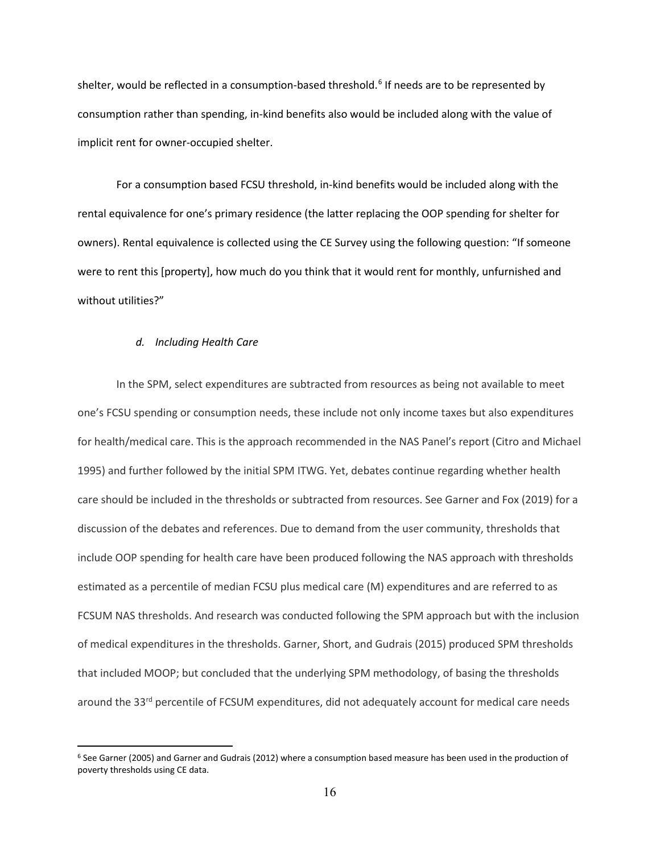shelter, would be reflected in a consumption-based threshold.<sup>[6](#page-16-0)</sup> If needs are to be represented by consumption rather than spending, in-kind benefits also would be included along with the value of implicit rent for owner-occupied shelter.

For a consumption based FCSU threshold, in-kind benefits would be included along with the rental equivalence for one's primary residence (the latter replacing the OOP spending for shelter for owners). Rental equivalence is collected using the CE Survey using the following question: "If someone were to rent this [property], how much do you think that it would rent for monthly, unfurnished and without utilities?"

#### *d. Including Health Care*

In the SPM, select expenditures are subtracted from resources as being not available to meet one's FCSU spending or consumption needs, these include not only income taxes but also expenditures for health/medical care. This is the approach recommended in the NAS Panel's report (Citro and Michael 1995) and further followed by the initial SPM ITWG. Yet, debates continue regarding whether health care should be included in the thresholds or subtracted from resources. See Garner and Fox (2019) for a discussion of the debates and references. Due to demand from the user community, thresholds that include OOP spending for health care have been produced following the NAS approach with thresholds estimated as a percentile of median FCSU plus medical care (M) expenditures and are referred to as FCSUM NAS thresholds. And research was conducted following the SPM approach but with the inclusion of medical expenditures in the thresholds. Garner, Short, and Gudrais (2015) produced SPM thresholds that included MOOP; but concluded that the underlying SPM methodology, of basing the thresholds around the 33<sup>rd</sup> percentile of FCSUM expenditures, did not adequately account for medical care needs

<span id="page-16-0"></span><sup>6</sup> See Garner (2005) and Garner and Gudrais (2012) where a consumption based measure has been used in the production of poverty thresholds using CE data.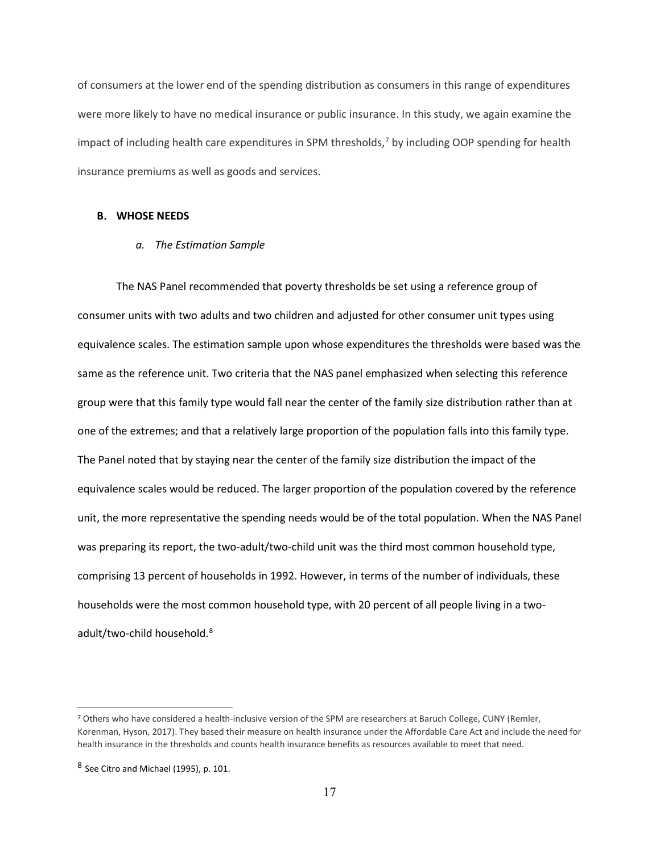of consumers at the lower end of the spending distribution as consumers in this range of expenditures were more likely to have no medical insurance or public insurance. In this study, we again examine the impact of including health care expenditures in SPM thresholds,<sup>[7](#page-17-0)</sup> by including OOP spending for health insurance premiums as well as goods and services.

#### **B. WHOSE NEEDS**

#### *a. The Estimation Sample*

The NAS Panel recommended that poverty thresholds be set using a reference group of consumer units with two adults and two children and adjusted for other consumer unit types using equivalence scales. The estimation sample upon whose expenditures the thresholds were based was the same as the reference unit. Two criteria that the NAS panel emphasized when selecting this reference group were that this family type would fall near the center of the family size distribution rather than at one of the extremes; and that a relatively large proportion of the population falls into this family type. The Panel noted that by staying near the center of the family size distribution the impact of the equivalence scales would be reduced. The larger proportion of the population covered by the reference unit, the more representative the spending needs would be of the total population. When the NAS Panel was preparing its report, the two-adult/two-child unit was the third most common household type, comprising 13 percent of households in 1992. However, in terms of the number of individuals, these households were the most common household type, with 20 percent of all people living in a two-adult/two-child household.<sup>[8](#page-17-1)</sup>

<span id="page-17-0"></span><sup>7</sup> Others who have considered a health-inclusive version of the SPM are researchers at Baruch College, CUNY (Remler, Korenman, Hyson, 2017). They based their measure on health insurance under the Affordable Care Act and include the need for health insurance in the thresholds and counts health insurance benefits as resources available to meet that need.

<span id="page-17-1"></span><sup>8</sup> See Citro and Michael (1995), p. 101.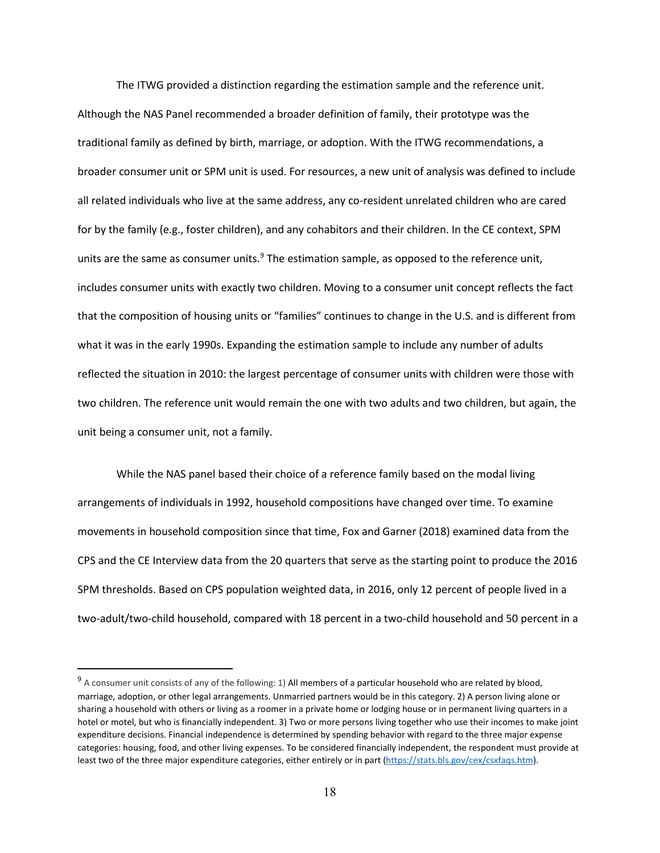The ITWG provided a distinction regarding the estimation sample and the reference unit. Although the NAS Panel recommended a broader definition of family, their prototype was the traditional family as defined by birth, marriage, or adoption. With the ITWG recommendations, a broader consumer unit or SPM unit is used. For resources, a new unit of analysis was defined to include all related individuals who live at the same address, any co-resident unrelated children who are cared for by the family (e.g., foster children), and any cohabitors and their children. In the CE context, SPM units are the same as consumer units. $9$  The estimation sample, as opposed to the reference unit, includes consumer units with exactly two children. Moving to a consumer unit concept reflects the fact that the composition of housing units or "families" continues to change in the U.S. and is different from what it was in the early 1990s. Expanding the estimation sample to include any number of adults reflected the situation in 2010: the largest percentage of consumer units with children were those with two children. The reference unit would remain the one with two adults and two children, but again, the unit being a consumer unit, not a family.

While the NAS panel based their choice of a reference family based on the modal living arrangements of individuals in 1992, household compositions have changed over time. To examine movements in household composition since that time, Fox and Garner (2018) examined data from the CPS and the CE Interview data from the 20 quarters that serve as the starting point to produce the 2016 SPM thresholds. Based on CPS population weighted data, in 2016, only 12 percent of people lived in a two-adult/two-child household, compared with 18 percent in a two-child household and 50 percent in a

<span id="page-18-0"></span><sup>&</sup>lt;sup>9</sup> A consumer unit consists of any of the following: 1) All members of a particular household who are related by blood, marriage, adoption, or other legal arrangements. Unmarried partners would be in this category. 2) A person living alone or sharing a household with others or living as a roomer in a private home or lodging house or in permanent living quarters in a hotel or motel, but who is financially independent. 3) Two or more persons living together who use their incomes to make joint expenditure decisions. Financial independence is determined by spending behavior with regard to the three major expense categories: housing, food, and other living expenses. To be considered financially independent, the respondent must provide at least two of the three major expenditure categories, either entirely or in part [\(https://stats.bls.gov/cex/csxfaqs.htm\)](https://stats.bls.gov/cex/csxfaqs.htm).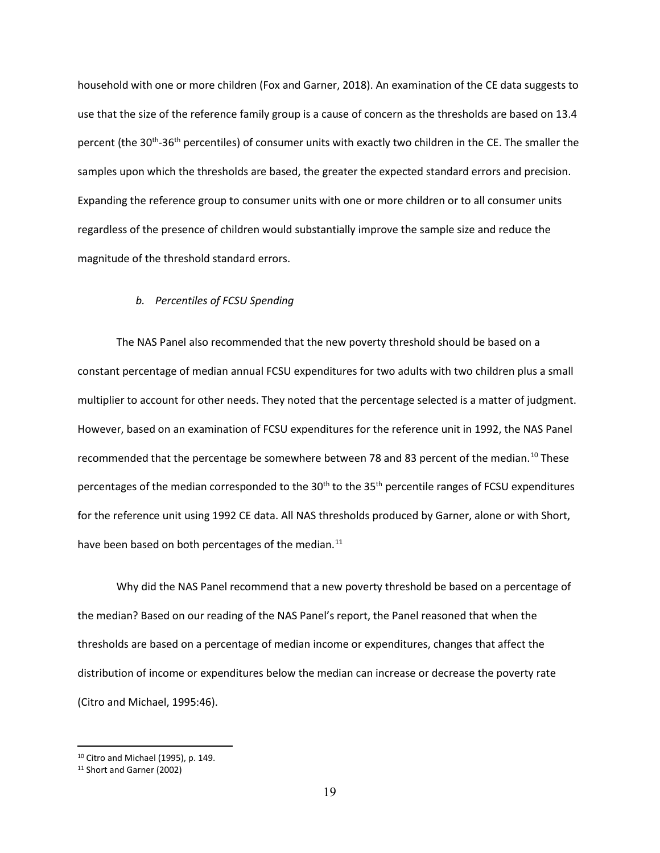household with one or more children (Fox and Garner, 2018). An examination of the CE data suggests to use that the size of the reference family group is a cause of concern as the thresholds are based on 13.4 percent (the 30<sup>th</sup>-36<sup>th</sup> percentiles) of consumer units with exactly two children in the CE. The smaller the samples upon which the thresholds are based, the greater the expected standard errors and precision. Expanding the reference group to consumer units with one or more children or to all consumer units regardless of the presence of children would substantially improve the sample size and reduce the magnitude of the threshold standard errors.

#### *b. Percentiles of FCSU Spending*

The NAS Panel also recommended that the new poverty threshold should be based on a constant percentage of median annual FCSU expenditures for two adults with two children plus a small multiplier to account for other needs. They noted that the percentage selected is a matter of judgment. However, based on an examination of FCSU expenditures for the reference unit in 1992, the NAS Panel recommended that the percentage be somewhere between 78 and 83 percent of the median.<sup>[10](#page-19-0)</sup> These percentages of the median corresponded to the 30<sup>th</sup> to the 35<sup>th</sup> percentile ranges of FCSU expenditures for the reference unit using 1992 CE data. All NAS thresholds produced by Garner, alone or with Short, have been based on both percentages of the median.<sup>[11](#page-19-1)</sup>

Why did the NAS Panel recommend that a new poverty threshold be based on a percentage of the median? Based on our reading of the NAS Panel's report, the Panel reasoned that when the thresholds are based on a percentage of median income or expenditures, changes that affect the distribution of income or expenditures below the median can increase or decrease the poverty rate (Citro and Michael, 1995:46).

<span id="page-19-0"></span><sup>10</sup> Citro and Michael (1995), p. 149.

<span id="page-19-1"></span><sup>11</sup> Short and Garner (2002)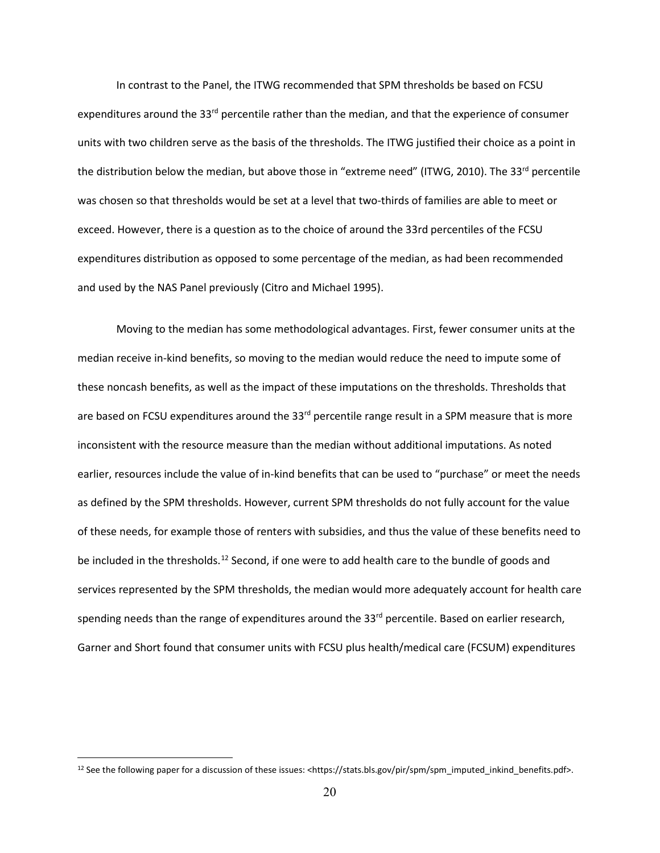In contrast to the Panel, the ITWG recommended that SPM thresholds be based on FCSU expenditures around the 33<sup>rd</sup> percentile rather than the median, and that the experience of consumer units with two children serve as the basis of the thresholds. The ITWG justified their choice as a point in the distribution below the median, but above those in "extreme need" (ITWG, 2010). The 33<sup>rd</sup> percentile was chosen so that thresholds would be set at a level that two-thirds of families are able to meet or exceed. However, there is a question as to the choice of around the 33rd percentiles of the FCSU expenditures distribution as opposed to some percentage of the median, as had been recommended and used by the NAS Panel previously (Citro and Michael 1995).

Moving to the median has some methodological advantages. First, fewer consumer units at the median receive in-kind benefits, so moving to the median would reduce the need to impute some of these noncash benefits, as well as the impact of these imputations on the thresholds. Thresholds that are based on FCSU expenditures around the  $33<sup>rd</sup>$  percentile range result in a SPM measure that is more inconsistent with the resource measure than the median without additional imputations. As noted earlier, resources include the value of in-kind benefits that can be used to "purchase" or meet the needs as defined by the SPM thresholds. However, current SPM thresholds do not fully account for the value of these needs, for example those of renters with subsidies, and thus the value of these benefits need to be included in the thresholds.<sup>[12](#page-20-0)</sup> Second, if one were to add health care to the bundle of goods and services represented by the SPM thresholds, the median would more adequately account for health care spending needs than the range of expenditures around the 33<sup>rd</sup> percentile. Based on earlier research, Garner and Short found that consumer units with FCSU plus health/medical care (FCSUM) expenditures

<span id="page-20-0"></span><sup>&</sup>lt;sup>12</sup> See the following paper for a discussion of these issues: <https://stats.bls.gov/pir/spm/spm\_imputed\_inkind\_benefits.pdf>.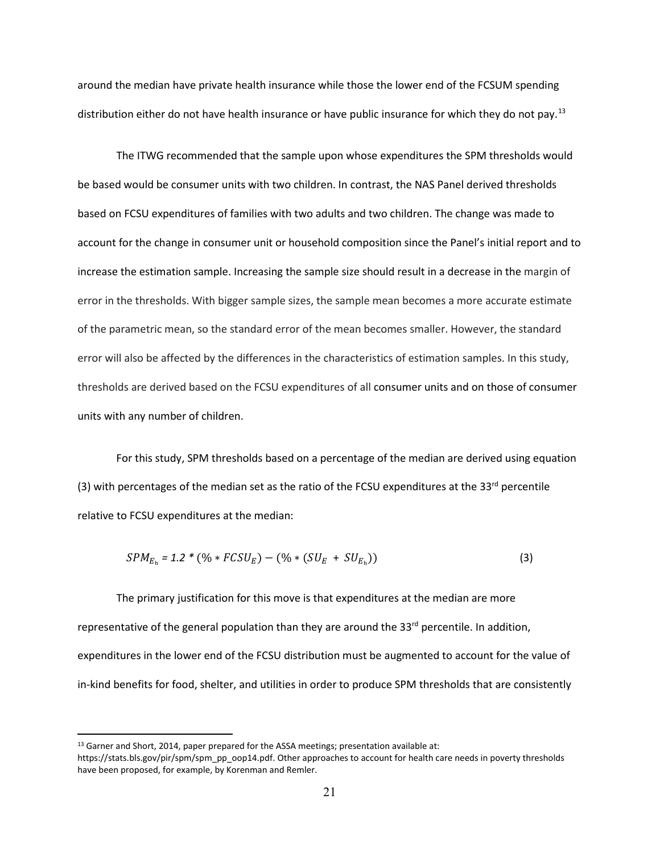around the median have private health insurance while those the lower end of the FCSUM spending distribution either do not have health insurance or have public insurance for which they do not pay.<sup>[13](#page-21-0)</sup>

The ITWG recommended that the sample upon whose expenditures the SPM thresholds would be based would be consumer units with two children. In contrast, the NAS Panel derived thresholds based on FCSU expenditures of families with two adults and two children. The change was made to account for the change in consumer unit or household composition since the Panel's initial report and to increase the estimation sample. Increasing the sample size should result in a decrease in the margin of error in the thresholds. With bigger sample sizes, the sample mean becomes a more accurate estimate of the parametric mean, so the standard error of the mean becomes smaller. However, the standard error will also be affected by the differences in the characteristics of estimation samples. In this study, thresholds are derived based on the FCSU expenditures of all consumer units and on those of consumer units with any number of children.

For this study, SPM thresholds based on a percentage of the median are derived using equation (3) with percentages of the median set as the ratio of the FCSU expenditures at the 33<sup>rd</sup> percentile relative to FCSU expenditures at the median:

$$
SPM_{E_h} = 1.2 * (\% * FCSU_E) - (\% * (SU_E + SU_{E_h}))
$$
\n(3)

The primary justification for this move is that expenditures at the median are more representative of the general population than they are around the 33<sup>rd</sup> percentile. In addition, expenditures in the lower end of the FCSU distribution must be augmented to account for the value of in-kind benefits for food, shelter, and utilities in order to produce SPM thresholds that are consistently

<span id="page-21-0"></span><sup>13</sup> Garner and Short, 2014, paper prepared for the ASSA meetings; presentation available at:

https://stats.bls.gov/pir/spm/spm\_pp\_oop14.pdf. Other approaches to account for health care needs in poverty thresholds have been proposed, for example, by Korenman and Remler.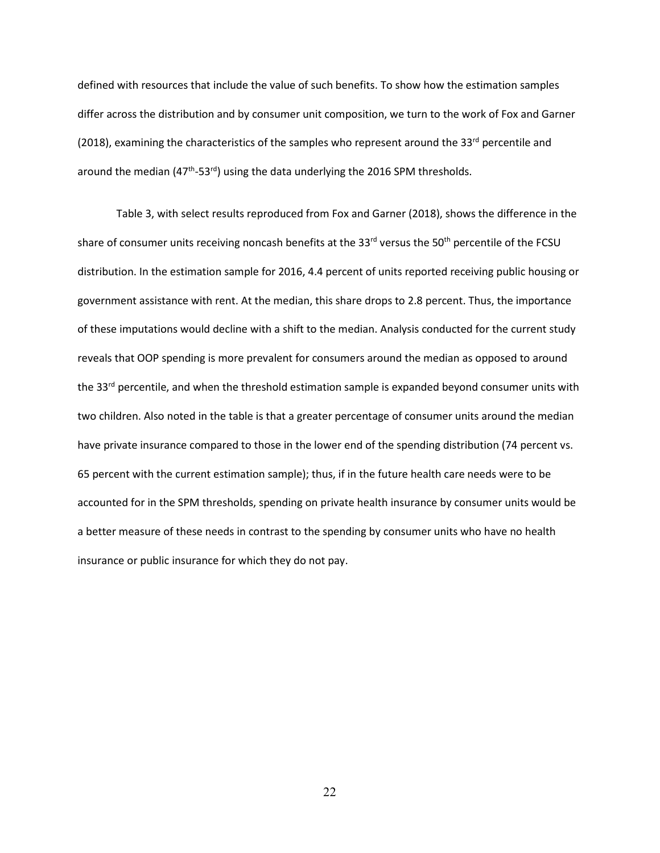defined with resources that include the value of such benefits. To show how the estimation samples differ across the distribution and by consumer unit composition, we turn to the work of Fox and Garner (2018), examining the characteristics of the samples who represent around the 33<sup>rd</sup> percentile and around the median  $(47<sup>th</sup>-53<sup>rd</sup>)$  using the data underlying the 2016 SPM thresholds.

Table 3, with select results reproduced from Fox and Garner (2018), shows the difference in the share of consumer units receiving noncash benefits at the 33<sup>rd</sup> versus the 50<sup>th</sup> percentile of the FCSU distribution. In the estimation sample for 2016, 4.4 percent of units reported receiving public housing or government assistance with rent. At the median, this share drops to 2.8 percent. Thus, the importance of these imputations would decline with a shift to the median. Analysis conducted for the current study reveals that OOP spending is more prevalent for consumers around the median as opposed to around the 33<sup>rd</sup> percentile, and when the threshold estimation sample is expanded beyond consumer units with two children. Also noted in the table is that a greater percentage of consumer units around the median have private insurance compared to those in the lower end of the spending distribution (74 percent vs. 65 percent with the current estimation sample); thus, if in the future health care needs were to be accounted for in the SPM thresholds, spending on private health insurance by consumer units would be a better measure of these needs in contrast to the spending by consumer units who have no health insurance or public insurance for which they do not pay.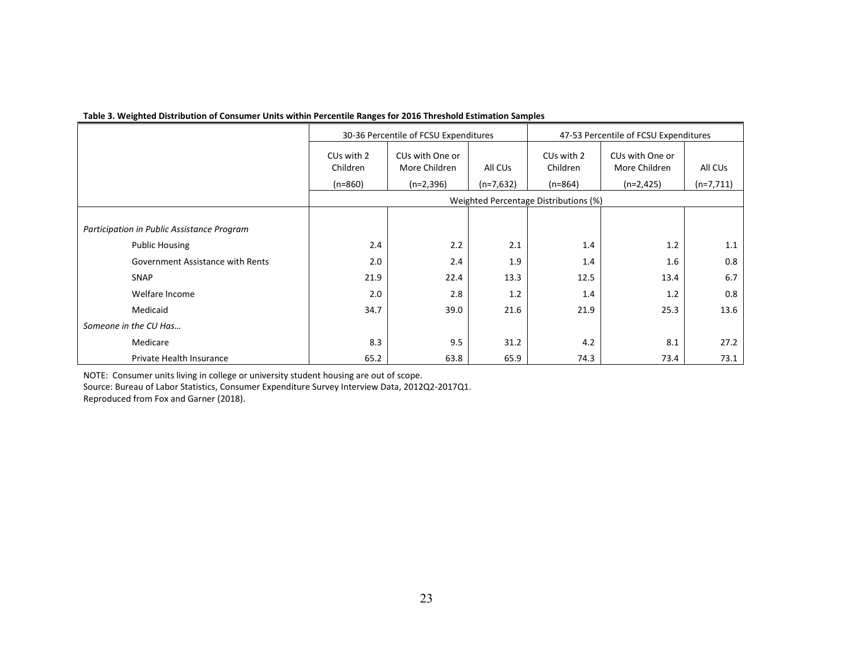|                                            |                                    | 30-36 Percentile of FCSU Expenditures |             | 47-53 Percentile of FCSU Expenditures |                                  |             |
|--------------------------------------------|------------------------------------|---------------------------------------|-------------|---------------------------------------|----------------------------------|-------------|
|                                            | CU <sub>s</sub> with 2<br>Children | CUs with One or<br>More Children      | All CUs     | CU <sub>s</sub> with 2<br>Children    | CUs with One or<br>More Children | All CUs     |
|                                            | $(n=860)$                          | $(n=2,396)$                           | $(n=7,632)$ | $(n=864)$                             | $(n=2,425)$                      | $(n=7,711)$ |
|                                            |                                    |                                       |             | Weighted Percentage Distributions (%) |                                  |             |
|                                            |                                    |                                       |             |                                       |                                  |             |
| Participation in Public Assistance Program |                                    |                                       |             |                                       |                                  |             |
| <b>Public Housing</b>                      | 2.4                                | 2.2                                   | 2.1         | 1.4                                   | 1.2                              | 1.1         |
| Government Assistance with Rents           | 2.0                                | 2.4                                   | 1.9         | 1.4                                   | 1.6                              | 0.8         |
| <b>SNAP</b>                                | 21.9                               | 22.4                                  | 13.3        | 12.5                                  | 13.4                             | 6.7         |
| Welfare Income                             | 2.0                                | 2.8                                   | 1.2         | 1.4                                   | 1.2                              | 0.8         |
| Medicaid                                   | 34.7                               | 39.0                                  | 21.6        | 21.9                                  | 25.3                             | 13.6        |
| Someone in the CU Has                      |                                    |                                       |             |                                       |                                  |             |
| Medicare                                   | 8.3                                | 9.5                                   | 31.2        | 4.2                                   | 8.1                              | 27.2        |
| Private Health Insurance                   | 65.2                               | 63.8                                  | 65.9        | 74.3                                  | 73.4                             | 73.1        |

#### **Table 3. Weighted Distribution of Consumer Units within Percentile Ranges for 2016 Threshold Estimation Samples**

NOTE: Consumer units living in college or university student housing are out of scope.

Source: Bureau of Labor Statistics, Consumer Expenditure Survey Interview Data, 2012Q2-2017Q1.

Reproduced from Fox and Garner (2018).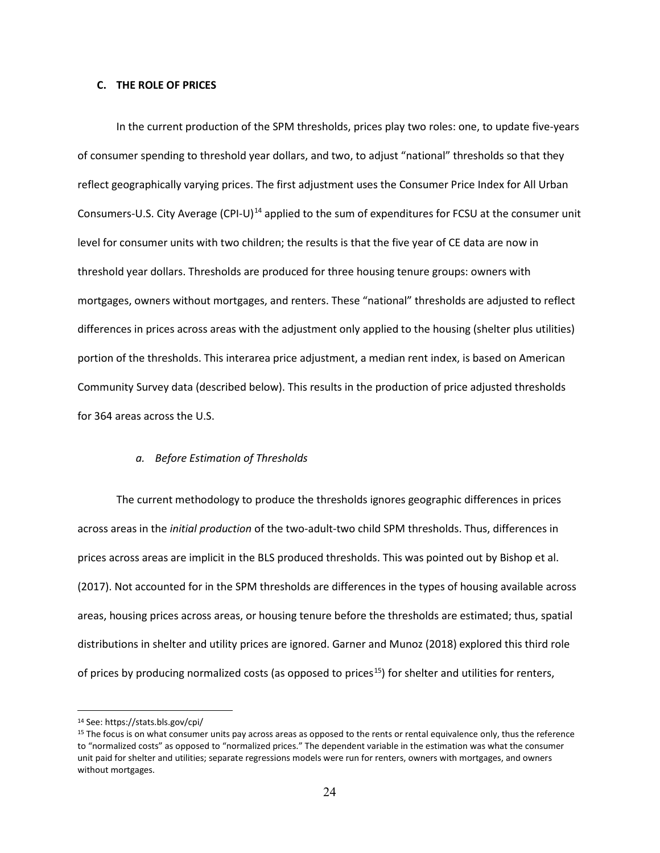#### **C. THE ROLE OF PRICES**

In the current production of the SPM thresholds, prices play two roles: one, to update five-years of consumer spending to threshold year dollars, and two, to adjust "national" thresholds so that they reflect geographically varying prices. The first adjustment uses th[e Consumer Price Index for All Urban](https://www.bls.gov/cpi/home.htm)  [Consumers-U.S. City Average \(CPI-U\)](https://www.bls.gov/cpi/home.htm)<sup>[14](#page-24-0)</sup> applied to the sum of expenditures for FCSU at the consumer unit level for consumer units with two children; the results is that the five year of CE data are now in threshold year dollars. Thresholds are produced for three housing tenure groups: owners with mortgages, owners without mortgages, and renters. These "national" thresholds are adjusted to reflect differences in prices across areas with the adjustment only applied to the housing (shelter plus utilities) portion of the thresholds. This interarea price adjustment, a median rent index, is based on American Community Survey data (described below). This results in the production of price adjusted thresholds for 364 areas across the U.S.

#### *a. Before Estimation of Thresholds*

The current methodology to produce the thresholds ignores geographic differences in prices across areas in the *initial production* of the two-adult-two child SPM thresholds. Thus, differences in prices across areas are implicit in the BLS produced thresholds. This was pointed out by Bishop et al. (2017). Not accounted for in the SPM thresholds are differences in the types of housing available across areas, housing prices across areas, or housing tenure before the thresholds are estimated; thus, spatial distributions in shelter and utility prices are ignored. Garner and Munoz (2018) explored this third role of prices by producing normalized costs (as opposed to prices<sup>[15](#page-24-1)</sup>) for shelter and utilities for renters,

<span id="page-24-0"></span><sup>14</sup> See: https://stats.bls.gov/cpi/

<span id="page-24-1"></span><sup>&</sup>lt;sup>15</sup> The focus is on what consumer units pay across areas as opposed to the rents or rental equivalence only, thus the reference to "normalized costs" as opposed to "normalized prices." The dependent variable in the estimation was what the consumer unit paid for shelter and utilities; separate regressions models were run for renters, owners with mortgages, and owners without mortgages.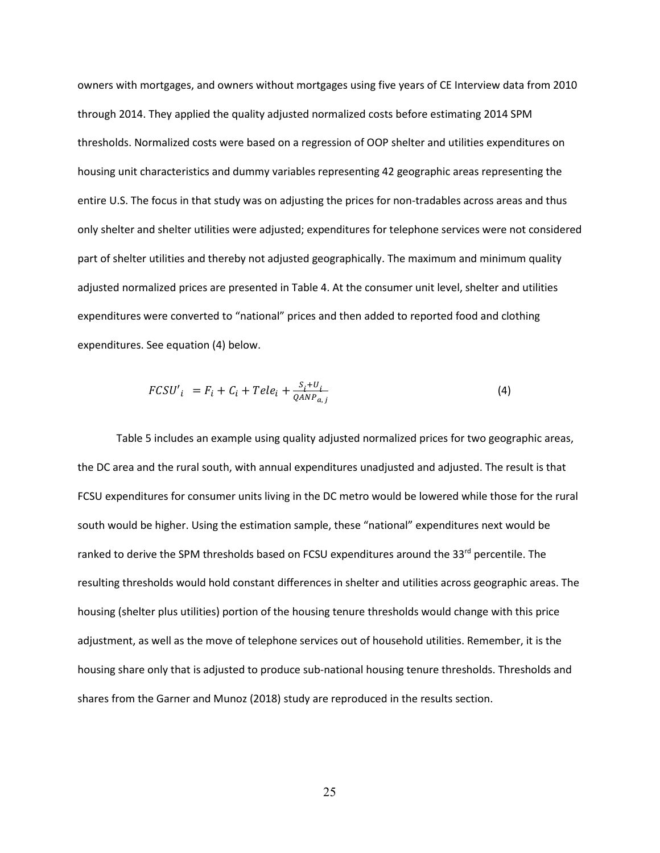owners with mortgages, and owners without mortgages using five years of CE Interview data from 2010 through 2014. They applied the quality adjusted normalized costs before estimating 2014 SPM thresholds. Normalized costs were based on a regression of OOP shelter and utilities expenditures on housing unit characteristics and dummy variables representing 42 geographic areas representing the entire U.S. The focus in that study was on adjusting the prices for non-tradables across areas and thus only shelter and shelter utilities were adjusted; expenditures for telephone services were not considered part of shelter utilities and thereby not adjusted geographically. The maximum and minimum quality adjusted normalized prices are presented in Table 4. At the consumer unit level, shelter and utilities expenditures were converted to "national" prices and then added to reported food and clothing expenditures. See equation (4) below.

$$
FCSU'_{i} = F_{i} + C_{i} + Tele_{i} + \frac{S_{i} + U_{i}}{QANP_{a,j}}
$$
\n
$$
\tag{4}
$$

Table 5 includes an example using quality adjusted normalized prices for two geographic areas, the DC area and the rural south, with annual expenditures unadjusted and adjusted. The result is that FCSU expenditures for consumer units living in the DC metro would be lowered while those for the rural south would be higher. Using the estimation sample, these "national" expenditures next would be ranked to derive the SPM thresholds based on FCSU expenditures around the 33<sup>rd</sup> percentile. The resulting thresholds would hold constant differences in shelter and utilities across geographic areas. The housing (shelter plus utilities) portion of the housing tenure thresholds would change with this price adjustment, as well as the move of telephone services out of household utilities. Remember, it is the housing share only that is adjusted to produce sub-national housing tenure thresholds. Thresholds and shares from the Garner and Munoz (2018) study are reproduced in the results section.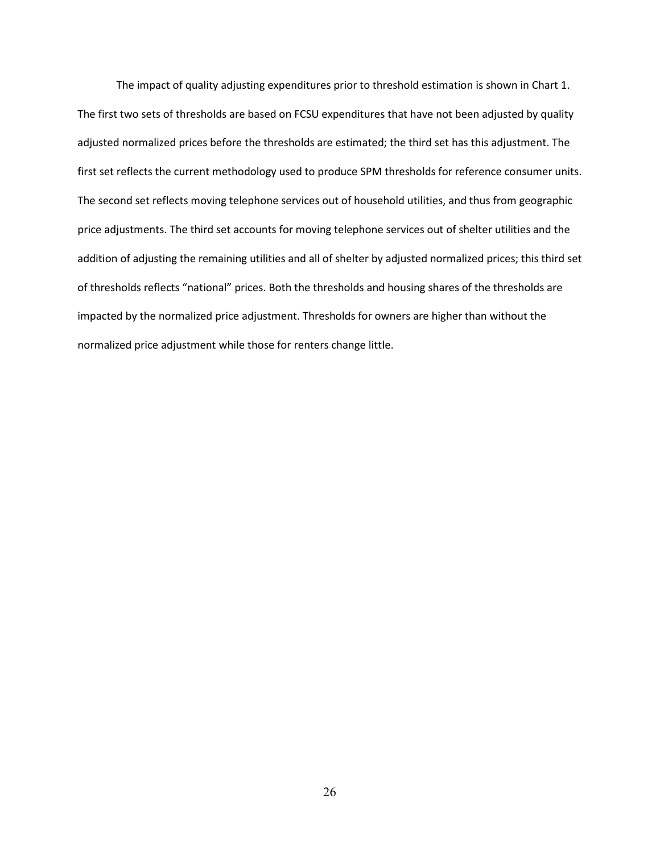The impact of quality adjusting expenditures prior to threshold estimation is shown in Chart 1. The first two sets of thresholds are based on FCSU expenditures that have not been adjusted by quality adjusted normalized prices before the thresholds are estimated; the third set has this adjustment. The first set reflects the current methodology used to produce SPM thresholds for reference consumer units. The second set reflects moving telephone services out of household utilities, and thus from geographic price adjustments. The third set accounts for moving telephone services out of shelter utilities and the addition of adjusting the remaining utilities and all of shelter by adjusted normalized prices; this third set of thresholds reflects "national" prices. Both the thresholds and housing shares of the thresholds are impacted by the normalized price adjustment. Thresholds for owners are higher than without the normalized price adjustment while those for renters change little.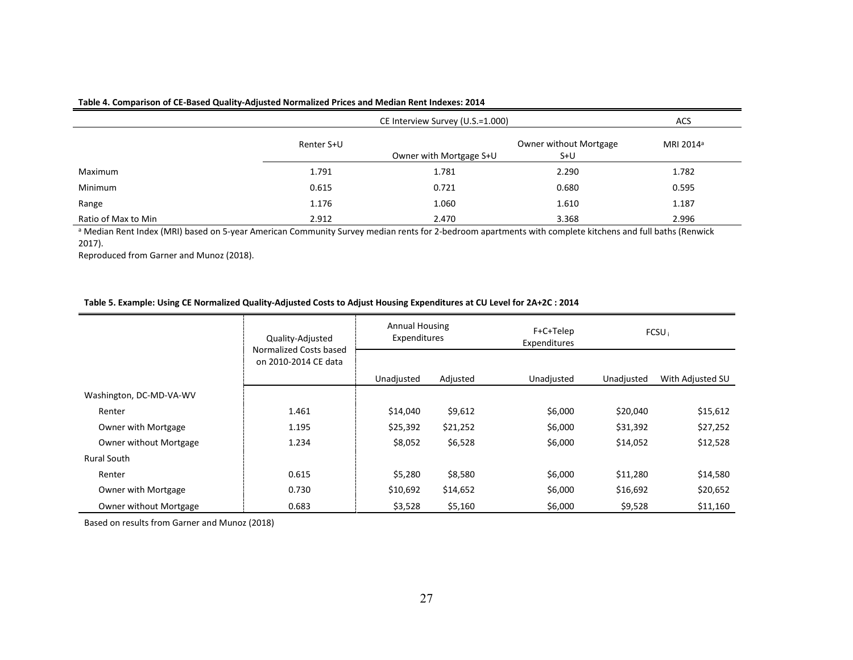#### **Table 4. Comparison of CE-Based Quality-Adjusted Normalized Prices and Median Rent Indexes: 2014**

|                     |            | <b>ACS</b>              |                                 |                       |
|---------------------|------------|-------------------------|---------------------------------|-----------------------|
|                     | Renter S+U | Owner with Mortgage S+U | Owner without Mortgage<br>$S+U$ | MRI 2014 <sup>a</sup> |
| Maximum             | 1.791      | 1.781                   | 2.290                           | 1.782                 |
| Minimum             | 0.615      | 0.721                   | 0.680                           | 0.595                 |
| Range               | 1.176      | 1.060                   | 1.610                           | 1.187                 |
| Ratio of Max to Min | 2.912      | 2.470                   | 3.368                           | 2.996                 |

a Median Rent Index (MRI) based on 5-year American Community Survey median rents for 2-bedroom apartments with complete kitchens and full baths (Renwick 2017).

Reproduced from Garner and Munoz (2018).

#### **Table 5. Example: Using CE Normalized Quality-Adjusted Costs to Adjust Housing Expenditures at CU Level for 2A+2C : 2014**

|                               | Quality-Adjusted<br>Normalized Costs based | <b>Annual Housing</b><br>Expenditures |          | F+C+Telep<br>Expenditures | FCSU <sub>i</sub> |                  |
|-------------------------------|--------------------------------------------|---------------------------------------|----------|---------------------------|-------------------|------------------|
|                               | on 2010-2014 CE data                       |                                       |          |                           |                   |                  |
|                               |                                            | Unadjusted                            | Adjusted | Unadjusted                | Unadjusted        | With Adjusted SU |
| Washington, DC-MD-VA-WV       |                                            |                                       |          |                           |                   |                  |
| Renter                        | 1.461                                      | \$14,040                              | \$9,612  | \$6,000                   | \$20,040          | \$15,612         |
| Owner with Mortgage           | 1.195                                      | \$25,392                              | \$21,252 | \$6,000                   | \$31,392          | \$27,252         |
| <b>Owner without Mortgage</b> | 1.234                                      | \$8,052                               | \$6,528  | \$6,000                   | \$14,052          | \$12,528         |
| Rural South                   |                                            |                                       |          |                           |                   |                  |
| Renter                        | 0.615                                      | \$5,280                               | \$8,580  | \$6,000                   | \$11,280          | \$14,580         |
| Owner with Mortgage           | 0.730                                      | \$10,692                              | \$14,652 | \$6,000                   | \$16,692          | \$20,652         |
| Owner without Mortgage        | 0.683                                      | \$3,528                               | \$5,160  | \$6,000                   | \$9,528           | \$11,160         |

Based on results from Garner and Munoz (2018)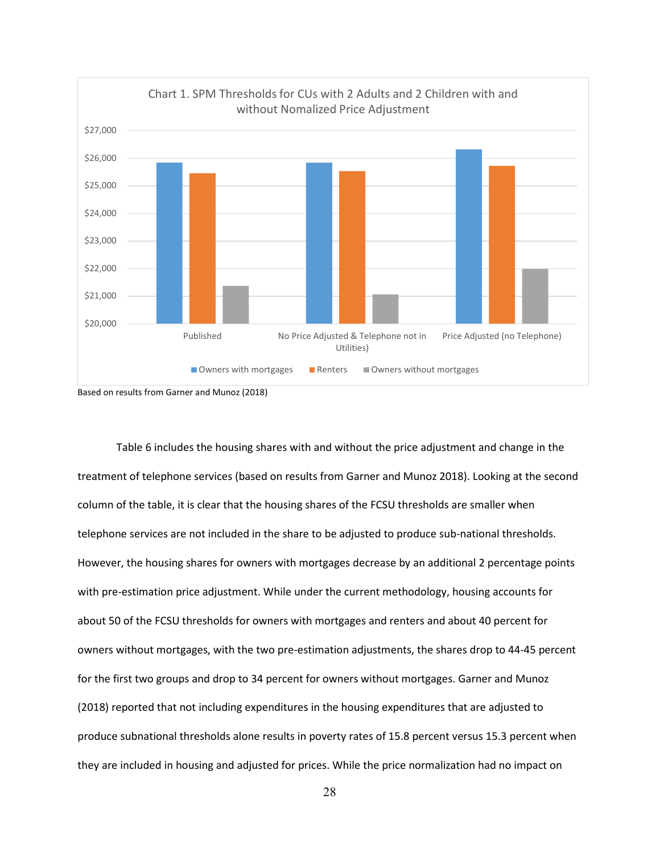



Table 6 includes the housing shares with and without the price adjustment and change in the treatment of telephone services (based on results from Garner and Munoz 2018). Looking at the second column of the table, it is clear that the housing shares of the FCSU thresholds are smaller when telephone services are not included in the share to be adjusted to produce sub-national thresholds. However, the housing shares for owners with mortgages decrease by an additional 2 percentage points with pre-estimation price adjustment. While under the current methodology, housing accounts for about 50 of the FCSU thresholds for owners with mortgages and renters and about 40 percent for owners without mortgages, with the two pre-estimation adjustments, the shares drop to 44-45 percent for the first two groups and drop to 34 percent for owners without mortgages. Garner and Munoz (2018) reported that not including expenditures in the housing expenditures that are adjusted to produce subnational thresholds alone results in poverty rates of 15.8 percent versus 15.3 percent when they are included in housing and adjusted for prices. While the price normalization had no impact on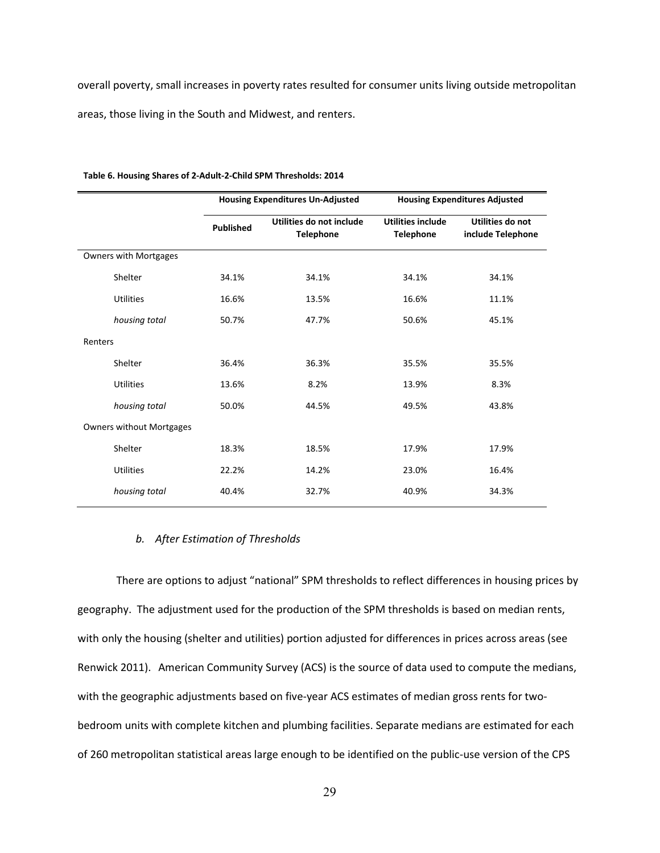overall poverty, small increases in poverty rates resulted for consumer units living outside metropolitan areas, those living in the South and Midwest, and renters.

|                                 |                  | <b>Housing Expenditures Un-Adjusted</b>      |                                              | <b>Housing Expenditures Adjusted</b>  |  |
|---------------------------------|------------------|----------------------------------------------|----------------------------------------------|---------------------------------------|--|
|                                 | <b>Published</b> | Utilities do not include<br><b>Telephone</b> | <b>Utilities include</b><br><b>Telephone</b> | Utilities do not<br>include Telephone |  |
| <b>Owners with Mortgages</b>    |                  |                                              |                                              |                                       |  |
| Shelter                         | 34.1%            | 34.1%                                        | 34.1%                                        | 34.1%                                 |  |
| <b>Utilities</b>                | 16.6%            | 13.5%                                        | 16.6%                                        | 11.1%                                 |  |
| housing total                   | 50.7%            | 47.7%                                        | 50.6%                                        | 45.1%                                 |  |
| Renters                         |                  |                                              |                                              |                                       |  |
| Shelter                         | 36.4%            | 36.3%                                        | 35.5%                                        | 35.5%                                 |  |
| <b>Utilities</b>                | 13.6%            | 8.2%                                         | 13.9%                                        | 8.3%                                  |  |
| housing total                   | 50.0%            | 44.5%                                        | 49.5%                                        | 43.8%                                 |  |
| <b>Owners without Mortgages</b> |                  |                                              |                                              |                                       |  |
| Shelter                         | 18.3%            | 18.5%                                        | 17.9%                                        | 17.9%                                 |  |
| <b>Utilities</b>                | 22.2%            | 14.2%                                        | 23.0%                                        | 16.4%                                 |  |
| housing total                   | 40.4%            | 32.7%                                        | 40.9%                                        | 34.3%                                 |  |

#### **Table 6. Housing Shares of 2-Adult-2-Child SPM Thresholds: 2014**

# *b. After Estimation of Thresholds*

There are options to adjust "national" SPM thresholds to reflect differences in housing prices by geography. The adjustment used for the production of the SPM thresholds is based on median rents, with only the housing (shelter and utilities) portion adjusted for differences in prices across areas (see Renwick 2011). American Community Survey (ACS) is the source of data used to compute the medians, with the geographic adjustments based on five-year ACS estimates of median gross rents for twobedroom units with complete kitchen and plumbing facilities. Separate medians are estimated for each of 260 metropolitan statistical areas large enough to be identified on the public-use version of the CPS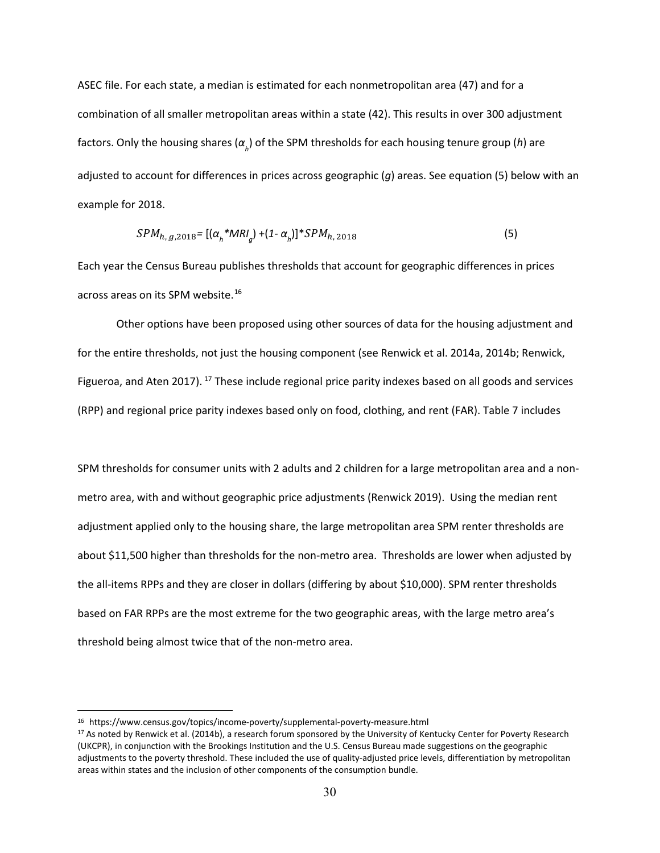ASEC file. For each state, a median is estimated for each nonmetropolitan area (47) and for a combination of all smaller metropolitan areas within a state (42). This results in over 300 adjustment factors. Only the housing shares (*α<sup>h</sup>* ) of the SPM thresholds for each housing tenure group (*h*) are adjusted to account for differences in prices across geographic (*g*) areas. See equation (5) below with an example for 2018.

$$
SPM_{h, g, 2018} = [(\alpha_h * MRI_g) + (1 - \alpha_h)] * SPM_{h, 2018} \tag{5}
$$

Each year the Census Bureau publishes thresholds that account for geographic differences in prices across areas on its SPM website.<sup>[16](#page-30-0)</sup>

Other options have been proposed using other sources of data for the housing adjustment and for the entire thresholds, not just the housing component (see Renwick et al. 2014a, 2014b; Renwick, Figueroa, and Aten 20[17](#page-30-1)).  $^{17}$  These include regional price parity indexes based on all goods and services (RPP) and regional price parity indexes based only on food, clothing, and rent (FAR). Table 7 includes

SPM thresholds for consumer units with 2 adults and 2 children for a large metropolitan area and a nonmetro area, with and without geographic price adjustments (Renwick 2019). Using the median rent adjustment applied only to the housing share, the large metropolitan area SPM renter thresholds are about \$11,500 higher than thresholds for the non-metro area. Thresholds are lower when adjusted by the all-items RPPs and they are closer in dollars (differing by about \$10,000). SPM renter thresholds based on FAR RPPs are the most extreme for the two geographic areas, with the large metro area's threshold being almost twice that of the non-metro area.

<span id="page-30-0"></span><sup>16</sup> https://www.census.gov/topics/income-poverty/supplemental-poverty-measure.html

<span id="page-30-1"></span><sup>&</sup>lt;sup>17</sup> As noted by Renwick et al. (2014b), a research forum sponsored by the University of Kentucky Center for Poverty Research (UKCPR), in conjunction with the Brookings Institution and the U.S. Census Bureau made suggestions on the geographic adjustments to the poverty threshold. These included the use of quality-adjusted price levels, differentiation by metropolitan areas within states and the inclusion of other components of the consumption bundle.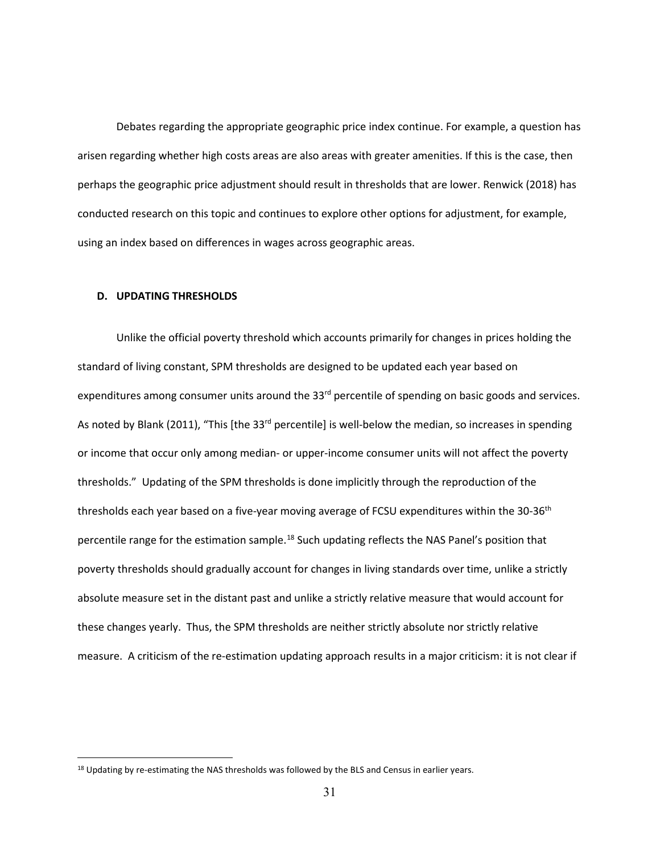Debates regarding the appropriate geographic price index continue. For example, a question has arisen regarding whether high costs areas are also areas with greater amenities. If this is the case, then perhaps the geographic price adjustment should result in thresholds that are lower. Renwick (2018) has conducted research on this topic and continues to explore other options for adjustment, for example, using an index based on differences in wages across geographic areas.

### **D. UPDATING THRESHOLDS**

Unlike the official poverty threshold which accounts primarily for changes in prices holding the standard of living constant, SPM thresholds are designed to be updated each year based on expenditures among consumer units around the 33<sup>rd</sup> percentile of spending on basic goods and services. As noted by Blank (2011), "This [the 33<sup>rd</sup> percentile] is well-below the median, so increases in spending or income that occur only among median- or upper-income consumer units will not affect the poverty thresholds." Updating of the SPM thresholds is done implicitly through the reproduction of the thresholds each year based on a five-year moving average of FCSU expenditures within the 30-36<sup>th</sup> percentile range for the estimation sample.<sup>[18](#page-31-0)</sup> Such updating reflects the NAS Panel's position that poverty thresholds should gradually account for changes in living standards over time, unlike a strictly absolute measure set in the distant past and unlike a strictly relative measure that would account for these changes yearly. Thus, the SPM thresholds are neither strictly absolute nor strictly relative measure. A criticism of the re-estimation updating approach results in a major criticism: it is not clear if

<span id="page-31-0"></span><sup>&</sup>lt;sup>18</sup> Updating by re-estimating the NAS thresholds was followed by the BLS and Census in earlier years.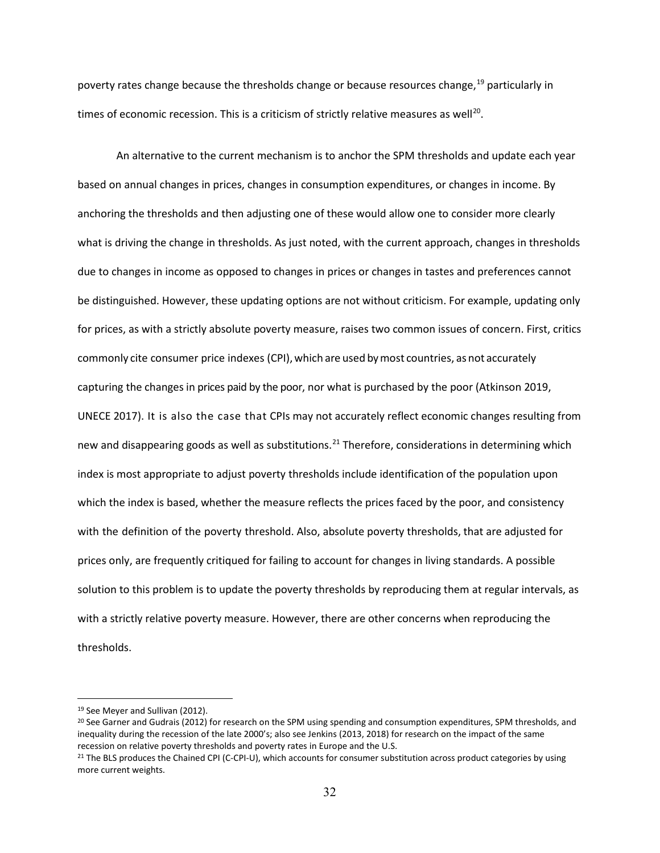poverty rates change because the thresholds change or because resources change,[19](#page-32-0) particularly in times of economic recession. This is a criticism of strictly relative measures as well<sup>20</sup>.

An alternative to the current mechanism is to anchor the SPM thresholds and update each year based on annual changes in prices, changes in consumption expenditures, or changes in income. By anchoring the thresholds and then adjusting one of these would allow one to consider more clearly what is driving the change in thresholds. As just noted, with the current approach, changes in thresholds due to changes in income as opposed to changes in prices or changes in tastes and preferences cannot be distinguished. However, these updating options are not without criticism. For example, updating only for prices, as with a strictly absolute poverty measure, raises two common issues of concern. First, critics commonly cite consumer price indexes (CPI), which are used by most countries, as not accurately capturing the changes in prices paid by the poor, nor what is purchased by the poor (Atkinson 2019, UNECE 2017). It is also the case that CPIs may not accurately reflect economic changes resulting from new and disappearing goods as well as substitutions.<sup>[21](#page-32-2)</sup> Therefore, considerations in determining which index is most appropriate to adjust poverty thresholds include identification of the population upon which the index is based, whether the measure reflects the prices faced by the poor, and consistency with the definition of the poverty threshold. Also, absolute poverty thresholds, that are adjusted for prices only, are frequently critiqued for failing to account for changes in living standards. A possible solution to this problem is to update the poverty thresholds by reproducing them at regular intervals, as with a strictly relative poverty measure. However, there are other concerns when reproducing the thresholds.

<span id="page-32-0"></span><sup>&</sup>lt;sup>19</sup> See Meyer and Sullivan (2012).

<span id="page-32-1"></span><sup>20</sup> See Garner and Gudrais (2012) for research on the SPM using spending and consumption expenditures, SPM thresholds, and inequality during the recession of the late 2000's; also see Jenkins (2013, 2018) for research on the impact of the same recession on relative poverty thresholds and poverty rates in Europe and the U.S.

<span id="page-32-2"></span><sup>&</sup>lt;sup>21</sup> The BLS produces the Chained CPI (C-CPI-U), which accounts for consumer substitution across product categories by using more current weights.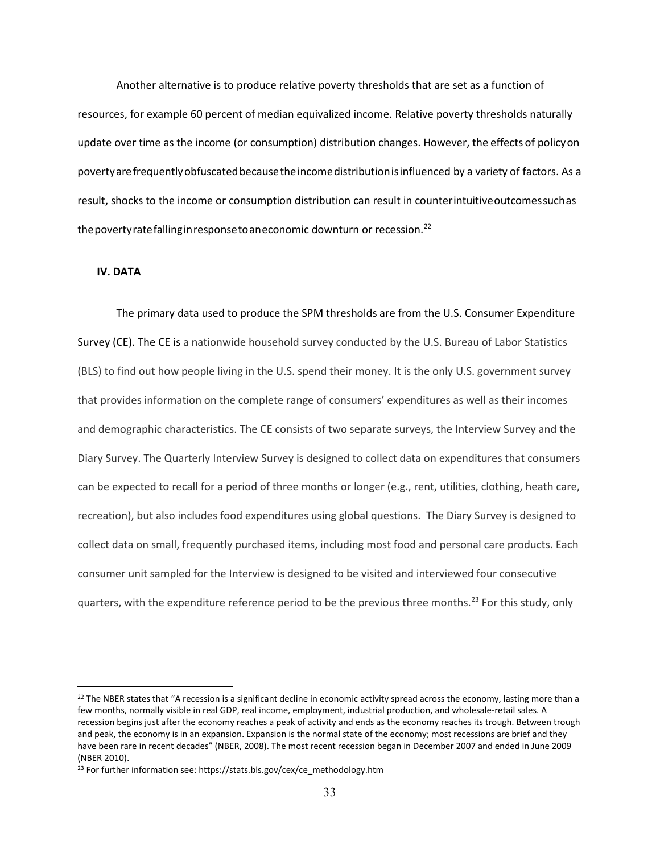Another alternative is to produce relative poverty thresholds that are set as a function of resources, for example 60 percent of median equivalized income. Relative poverty thresholds naturally update over time as the income (or consumption) distribution changes. However, the effects of policyon povertyarefrequentlyobfuscatedbecausetheincomedistributionisinfluenced by a variety of factors. As a result, shocks to the income or consumption distribution can result in counterintuitiveoutcomessuchas the poverty rate falling in response to an economic downturn or recession.<sup>22</sup>

### **IV. DATA**

The primary data used to produce the SPM thresholds are from the U.S. Consumer Expenditure Survey (CE). The CE is a nationwide household survey conducted by the U.S. Bureau of Labor Statistics (BLS) to find out how people living in the U.S. spend their money. It is the only U.S. government survey that provides information on the complete range of consumers' expenditures as well as their incomes and demographic characteristics. The CE consists of two separate surveys, the Interview Survey and the Diary Survey. The Quarterly Interview Survey is designed to collect data on expenditures that consumers can be expected to recall for a period of three months or longer (e.g., rent, utilities, clothing, heath care, recreation), but also includes food expenditures using global questions. The Diary Survey is designed to collect data on small, frequently purchased items, including most food and personal care products. Each consumer unit sampled for the Interview is designed to be visited and interviewed four consecutive quarters, with the expenditure reference period to be the previous three months.<sup>[23](#page-33-1)</sup> For this study, only

<span id="page-33-0"></span> $22$  The NBER states that "A recession is a significant decline in economic activity spread across the economy, lasting more than a few months, normally visible in real GDP, real income, employment, industrial production, and wholesale-retail sales. A recession begins just after the economy reaches a peak of activity and ends as the economy reaches its trough. Between trough and peak, the economy is in an expansion. Expansion is the normal state of the economy; most recessions are brief and they have been rare in recent decades" (NBER, 2008). The most recent recession began in December 2007 and ended in June 2009 (NBER 2010).

<span id="page-33-1"></span><sup>23</sup> For further information see: https://stats.bls.gov/cex/ce\_methodology.htm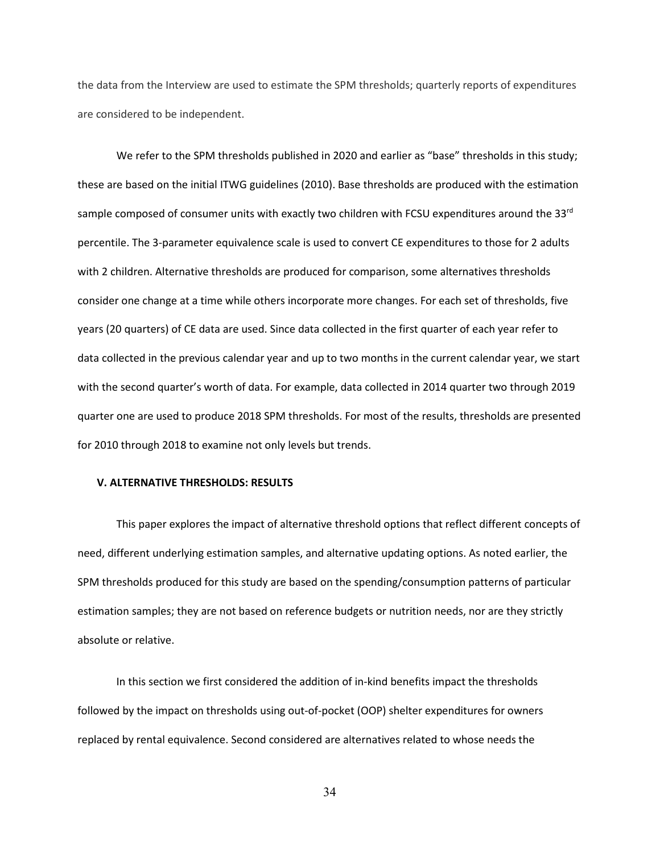the data from the Interview are used to estimate the SPM thresholds; quarterly reports of expenditures are considered to be independent.

We refer to the SPM thresholds published in 2020 and earlier as "base" thresholds in this study; these are based on the initial ITWG guidelines (2010). Base thresholds are produced with the estimation sample composed of consumer units with exactly two children with FCSU expenditures around the 33<sup>rd</sup> percentile. The 3-parameter equivalence scale is used to convert CE expenditures to those for 2 adults with 2 children. Alternative thresholds are produced for comparison, some alternatives thresholds consider one change at a time while others incorporate more changes. For each set of thresholds, five years (20 quarters) of CE data are used. Since data collected in the first quarter of each year refer to data collected in the previous calendar year and up to two months in the current calendar year, we start with the second quarter's worth of data. For example, data collected in 2014 quarter two through 2019 quarter one are used to produce 2018 SPM thresholds. For most of the results, thresholds are presented for 2010 through 2018 to examine not only levels but trends.

#### **V. ALTERNATIVE THRESHOLDS: RESULTS**

This paper explores the impact of alternative threshold options that reflect different concepts of need, different underlying estimation samples, and alternative updating options. As noted earlier, the SPM thresholds produced for this study are based on the spending/consumption patterns of particular estimation samples; they are not based on reference budgets or nutrition needs, nor are they strictly absolute or relative.

In this section we first considered the addition of in-kind benefits impact the thresholds followed by the impact on thresholds using out-of-pocket (OOP) shelter expenditures for owners replaced by rental equivalence. Second considered are alternatives related to whose needs the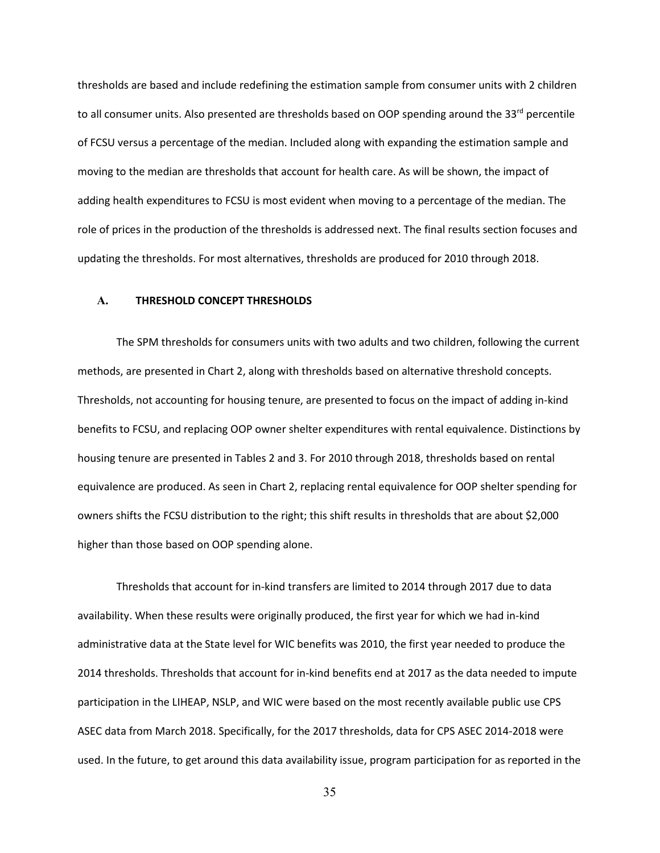thresholds are based and include redefining the estimation sample from consumer units with 2 children to all consumer units. Also presented are thresholds based on OOP spending around the  $33<sup>rd</sup>$  percentile of FCSU versus a percentage of the median. Included along with expanding the estimation sample and moving to the median are thresholds that account for health care. As will be shown, the impact of adding health expenditures to FCSU is most evident when moving to a percentage of the median. The role of prices in the production of the thresholds is addressed next. The final results section focuses and updating the thresholds. For most alternatives, thresholds are produced for 2010 through 2018.

#### **A. THRESHOLD CONCEPT THRESHOLDS**

The SPM thresholds for consumers units with two adults and two children, following the current methods, are presented in Chart 2, along with thresholds based on alternative threshold concepts. Thresholds, not accounting for housing tenure, are presented to focus on the impact of adding in-kind benefits to FCSU, and replacing OOP owner shelter expenditures with rental equivalence. Distinctions by housing tenure are presented in Tables 2 and 3. For 2010 through 2018, thresholds based on rental equivalence are produced. As seen in Chart 2, replacing rental equivalence for OOP shelter spending for owners shifts the FCSU distribution to the right; this shift results in thresholds that are about \$2,000 higher than those based on OOP spending alone.

Thresholds that account for in-kind transfers are limited to 2014 through 2017 due to data availability. When these results were originally produced, the first year for which we had in-kind administrative data at the State level for WIC benefits was 2010, the first year needed to produce the 2014 thresholds. Thresholds that account for in-kind benefits end at 2017 as the data needed to impute participation in the LIHEAP, NSLP, and WIC were based on the most recently available public use CPS ASEC data from March 2018. Specifically, for the 2017 thresholds, data for CPS ASEC 2014-2018 were used. In the future, to get around this data availability issue, program participation for as reported in the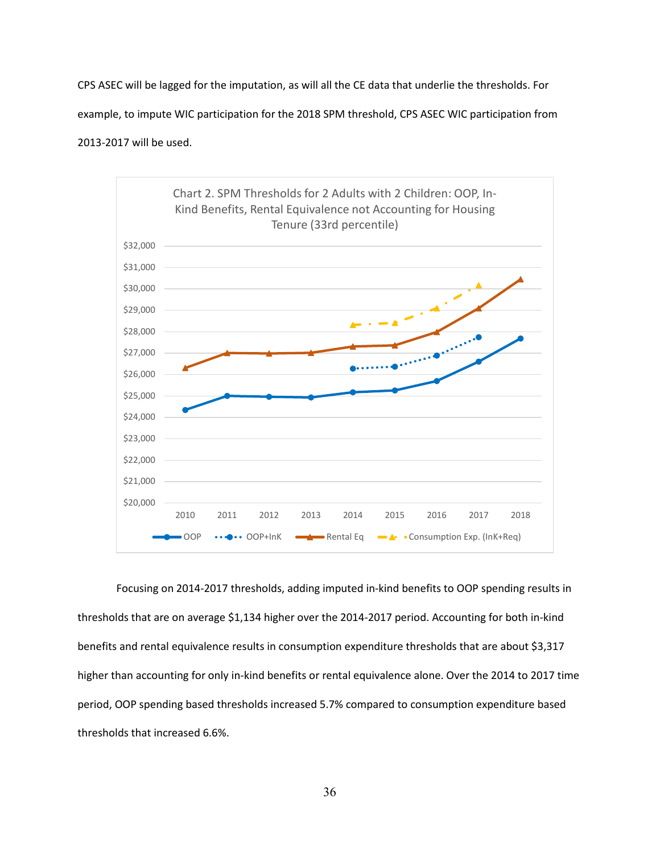CPS ASEC will be lagged for the imputation, as will all the CE data that underlie the thresholds. For example, to impute WIC participation for the 2018 SPM threshold, CPS ASEC WIC participation from 2013-2017 will be used.



Focusing on 2014-2017 thresholds, adding imputed in-kind benefits to OOP spending results in thresholds that are on average \$1,134 higher over the 2014-2017 period. Accounting for both in-kind benefits and rental equivalence results in consumption expenditure thresholds that are about \$3,317 higher than accounting for only in-kind benefits or rental equivalence alone. Over the 2014 to 2017 time period, OOP spending based thresholds increased 5.7% compared to consumption expenditure based thresholds that increased 6.6%.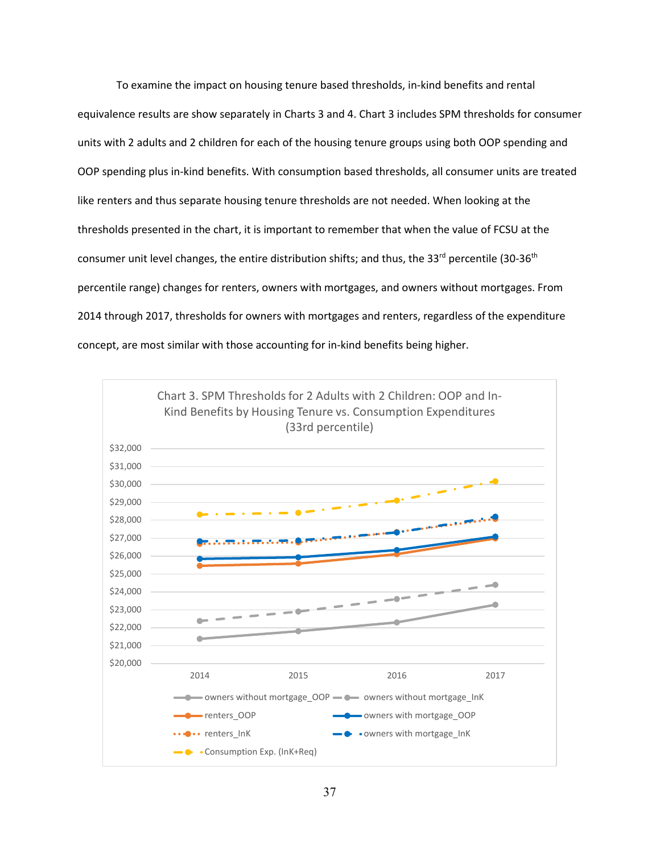To examine the impact on housing tenure based thresholds, in-kind benefits and rental equivalence results are show separately in Charts 3 and 4. Chart 3 includes SPM thresholds for consumer units with 2 adults and 2 children for each of the housing tenure groups using both OOP spending and OOP spending plus in-kind benefits. With consumption based thresholds, all consumer units are treated like renters and thus separate housing tenure thresholds are not needed. When looking at the thresholds presented in the chart, it is important to remember that when the value of FCSU at the consumer unit level changes, the entire distribution shifts; and thus, the 33<sup>rd</sup> percentile (30-36<sup>th</sup> percentile range) changes for renters, owners with mortgages, and owners without mortgages. From 2014 through 2017, thresholds for owners with mortgages and renters, regardless of the expenditure concept, are most similar with those accounting for in-kind benefits being higher.

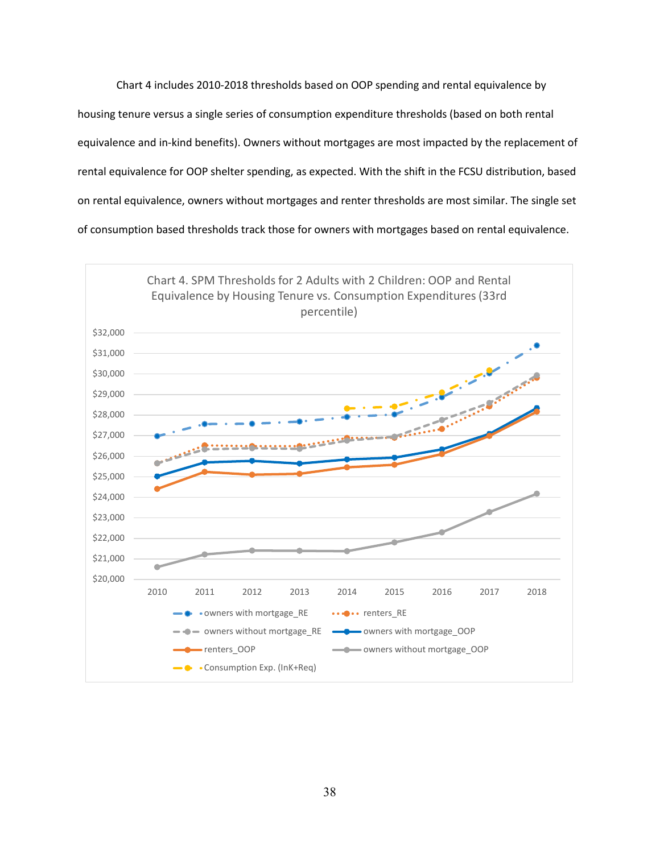Chart 4 includes 2010-2018 thresholds based on OOP spending and rental equivalence by housing tenure versus a single series of consumption expenditure thresholds (based on both rental equivalence and in-kind benefits). Owners without mortgages are most impacted by the replacement of rental equivalence for OOP shelter spending, as expected. With the shift in the FCSU distribution, based on rental equivalence, owners without mortgages and renter thresholds are most similar. The single set of consumption based thresholds track those for owners with mortgages based on rental equivalence.

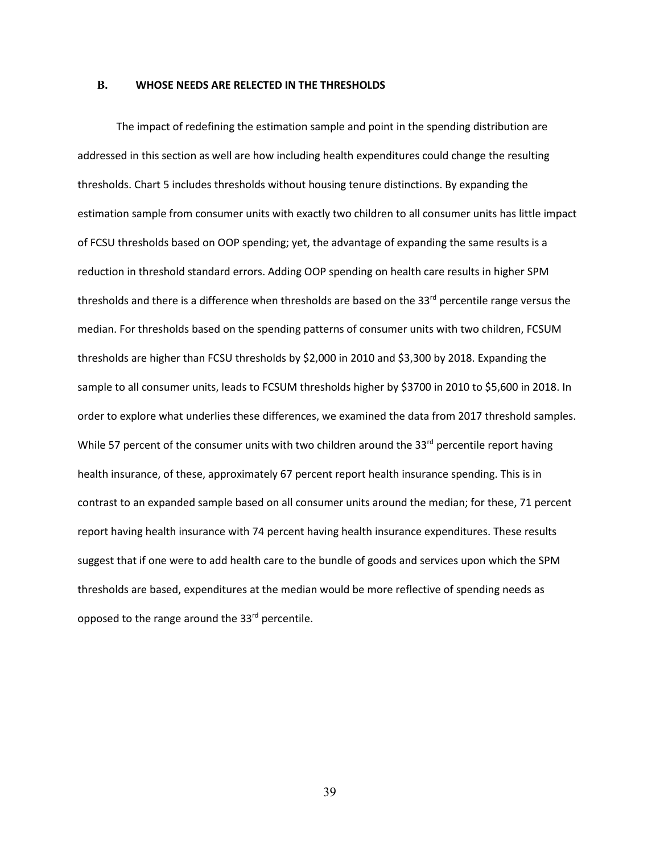#### **B. WHOSE NEEDS ARE RELECTED IN THE THRESHOLDS**

The impact of redefining the estimation sample and point in the spending distribution are addressed in this section as well are how including health expenditures could change the resulting thresholds. Chart 5 includes thresholds without housing tenure distinctions. By expanding the estimation sample from consumer units with exactly two children to all consumer units has little impact of FCSU thresholds based on OOP spending; yet, the advantage of expanding the same results is a reduction in threshold standard errors. Adding OOP spending on health care results in higher SPM thresholds and there is a difference when thresholds are based on the 33<sup>rd</sup> percentile range versus the median. For thresholds based on the spending patterns of consumer units with two children, FCSUM thresholds are higher than FCSU thresholds by \$2,000 in 2010 and \$3,300 by 2018. Expanding the sample to all consumer units, leads to FCSUM thresholds higher by \$3700 in 2010 to \$5,600 in 2018. In order to explore what underlies these differences, we examined the data from 2017 threshold samples. While 57 percent of the consumer units with two children around the 33<sup>rd</sup> percentile report having health insurance, of these, approximately 67 percent report health insurance spending. This is in contrast to an expanded sample based on all consumer units around the median; for these, 71 percent report having health insurance with 74 percent having health insurance expenditures. These results suggest that if one were to add health care to the bundle of goods and services upon which the SPM thresholds are based, expenditures at the median would be more reflective of spending needs as opposed to the range around the 33<sup>rd</sup> percentile.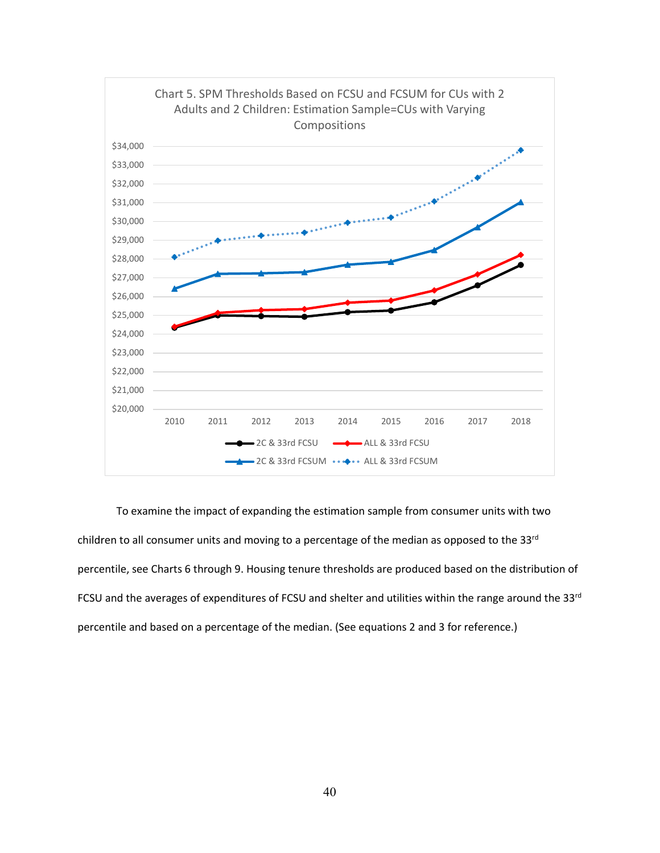

To examine the impact of expanding the estimation sample from consumer units with two children to all consumer units and moving to a percentage of the median as opposed to the 33rd percentile, see Charts 6 through 9. Housing tenure thresholds are produced based on the distribution of FCSU and the averages of expenditures of FCSU and shelter and utilities within the range around the 33rd percentile and based on a percentage of the median. (See equations 2 and 3 for reference.)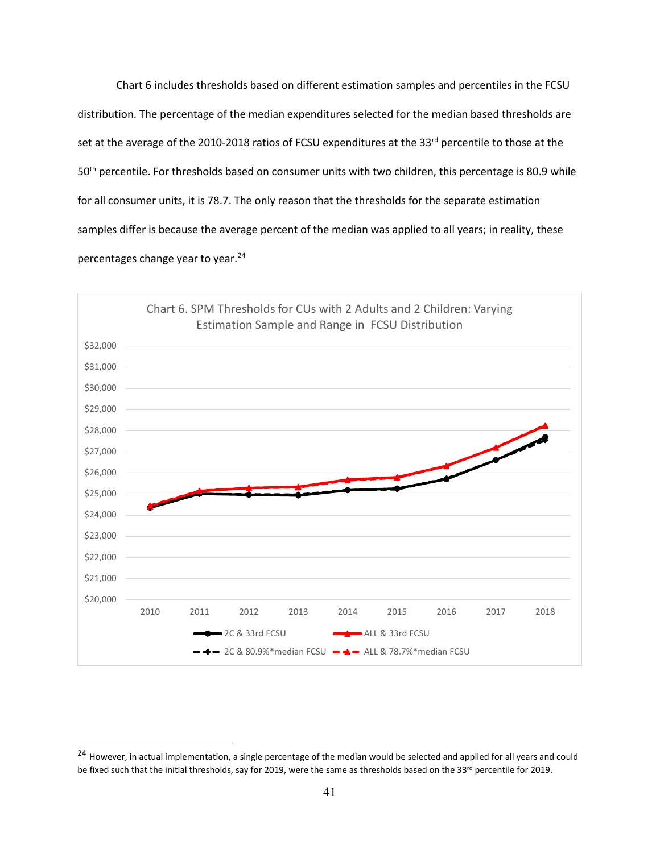Chart 6 includes thresholds based on different estimation samples and percentiles in the FCSU distribution. The percentage of the median expenditures selected for the median based thresholds are set at the average of the 2010-2018 ratios of FCSU expenditures at the 33<sup>rd</sup> percentile to those at the 50<sup>th</sup> percentile. For thresholds based on consumer units with two children, this percentage is 80.9 while for all consumer units, it is 78.7. The only reason that the thresholds for the separate estimation samples differ is because the average percent of the median was applied to all years; in reality, these percentages change year to year.<sup>[24](#page-41-0)</sup>



<span id="page-41-0"></span><sup>&</sup>lt;sup>24</sup> However, in actual implementation, a single percentage of the median would be selected and applied for all years and could be fixed such that the initial thresholds, say for 2019, were the same as thresholds based on the 33rd percentile for 2019.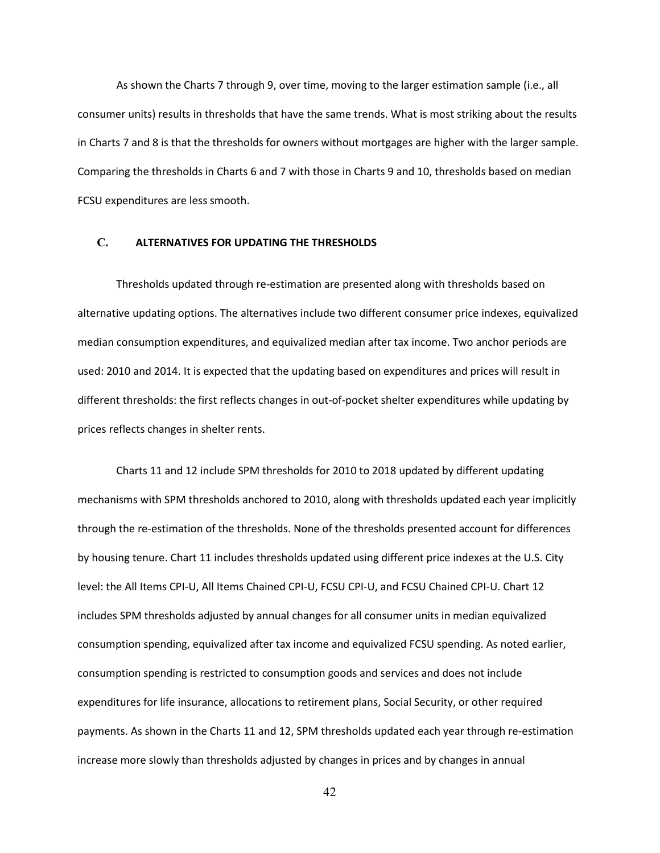As shown the Charts 7 through 9, over time, moving to the larger estimation sample (i.e., all consumer units) results in thresholds that have the same trends. What is most striking about the results in Charts 7 and 8 is that the thresholds for owners without mortgages are higher with the larger sample. Comparing the thresholds in Charts 6 and 7 with those in Charts 9 and 10, thresholds based on median FCSU expenditures are less smooth.

# **C. ALTERNATIVES FOR UPDATING THE THRESHOLDS**

Thresholds updated through re-estimation are presented along with thresholds based on alternative updating options. The alternatives include two different consumer price indexes, equivalized median consumption expenditures, and equivalized median after tax income. Two anchor periods are used: 2010 and 2014. It is expected that the updating based on expenditures and prices will result in different thresholds: the first reflects changes in out-of-pocket shelter expenditures while updating by prices reflects changes in shelter rents.

Charts 11 and 12 include SPM thresholds for 2010 to 2018 updated by different updating mechanisms with SPM thresholds anchored to 2010, along with thresholds updated each year implicitly through the re-estimation of the thresholds. None of the thresholds presented account for differences by housing tenure. Chart 11 includes thresholds updated using different price indexes at the U.S. City level: the All Items CPI-U, All Items Chained CPI-U, FCSU CPI-U, and FCSU Chained CPI-U. Chart 12 includes SPM thresholds adjusted by annual changes for all consumer units in median equivalized consumption spending, equivalized after tax income and equivalized FCSU spending. As noted earlier, consumption spending is restricted to consumption goods and services and does not include expenditures for life insurance, allocations to retirement plans, Social Security, or other required payments. As shown in the Charts 11 and 12, SPM thresholds updated each year through re-estimation increase more slowly than thresholds adjusted by changes in prices and by changes in annual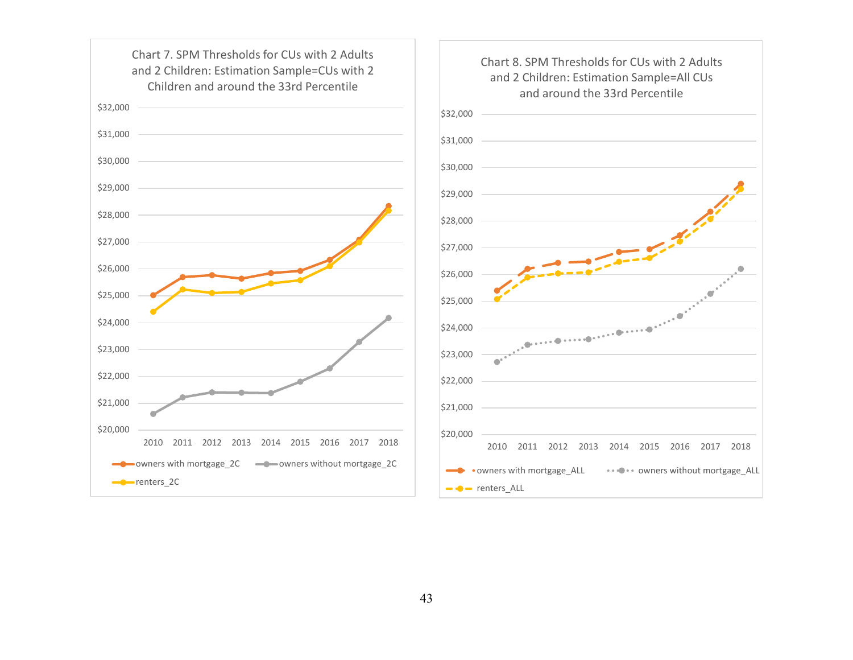

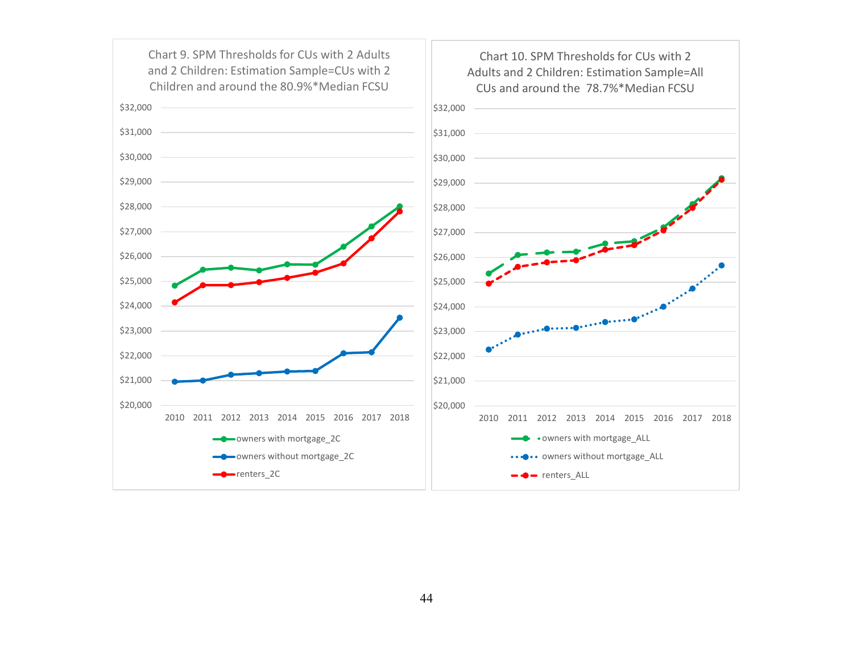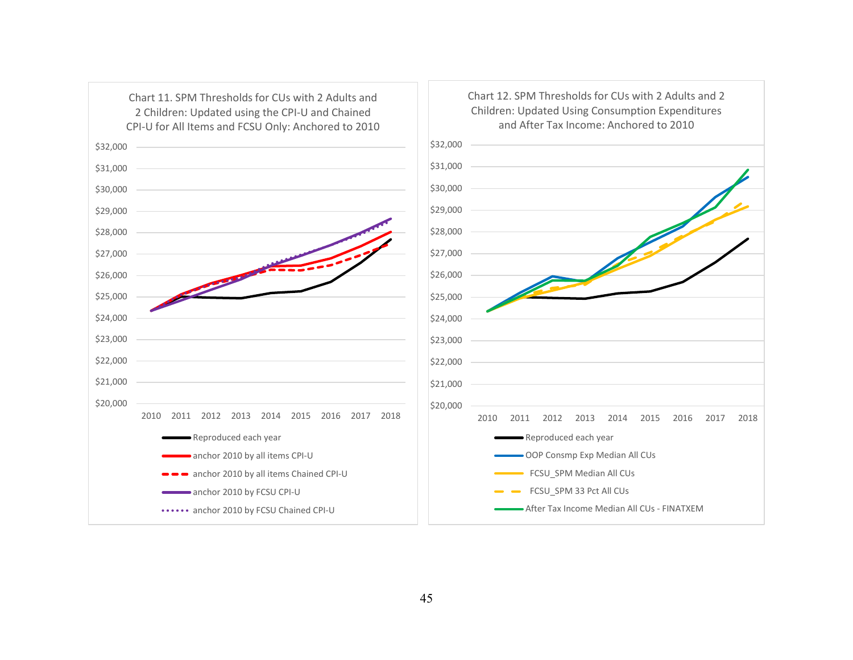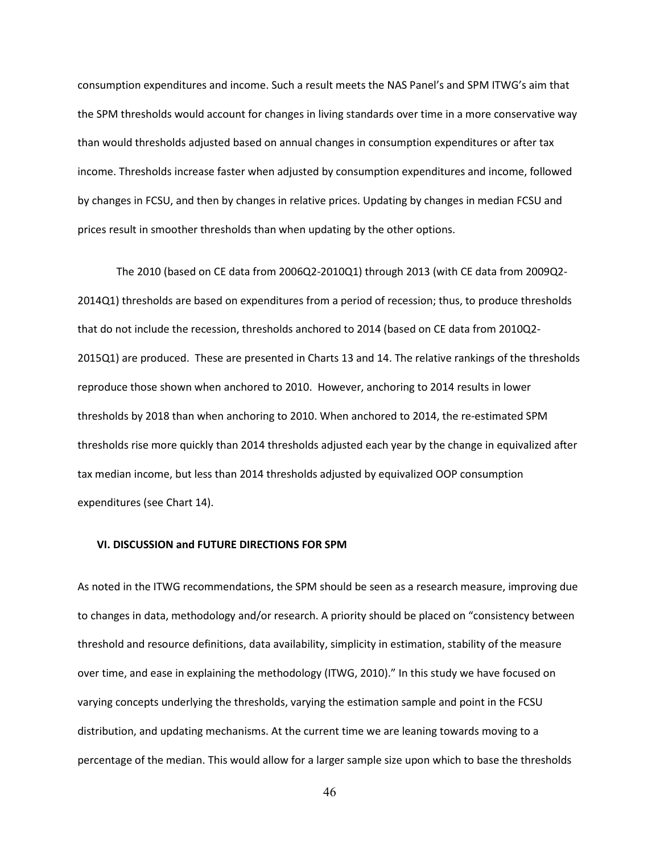consumption expenditures and income. Such a result meets the NAS Panel's and SPM ITWG's aim that the SPM thresholds would account for changes in living standards over time in a more conservative way than would thresholds adjusted based on annual changes in consumption expenditures or after tax income. Thresholds increase faster when adjusted by consumption expenditures and income, followed by changes in FCSU, and then by changes in relative prices. Updating by changes in median FCSU and prices result in smoother thresholds than when updating by the other options.

The 2010 (based on CE data from 2006Q2-2010Q1) through 2013 (with CE data from 2009Q2- 2014Q1) thresholds are based on expenditures from a period of recession; thus, to produce thresholds that do not include the recession, thresholds anchored to 2014 (based on CE data from 2010Q2- 2015Q1) are produced. These are presented in Charts 13 and 14. The relative rankings of the thresholds reproduce those shown when anchored to 2010. However, anchoring to 2014 results in lower thresholds by 2018 than when anchoring to 2010. When anchored to 2014, the re-estimated SPM thresholds rise more quickly than 2014 thresholds adjusted each year by the change in equivalized after tax median income, but less than 2014 thresholds adjusted by equivalized OOP consumption expenditures (see Chart 14).

# **VI. DISCUSSION and FUTURE DIRECTIONS FOR SPM**

As noted in the ITWG recommendations, the SPM should be seen as a research measure, improving due to changes in data, methodology and/or research. A priority should be placed on "consistency between threshold and resource definitions, data availability, simplicity in estimation, stability of the measure over time, and ease in explaining the methodology (ITWG, 2010)." In this study we have focused on varying concepts underlying the thresholds, varying the estimation sample and point in the FCSU distribution, and updating mechanisms. At the current time we are leaning towards moving to a percentage of the median. This would allow for a larger sample size upon which to base the thresholds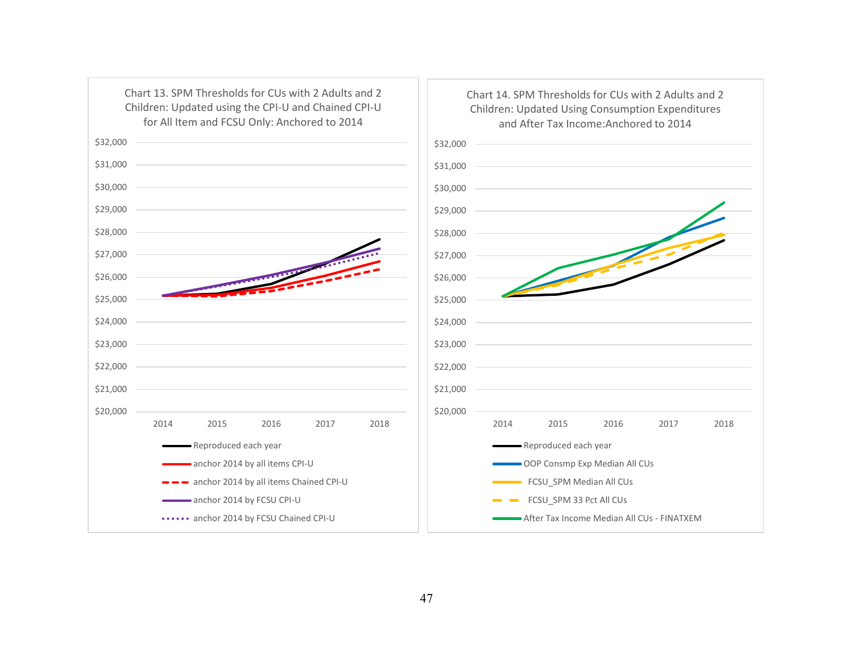

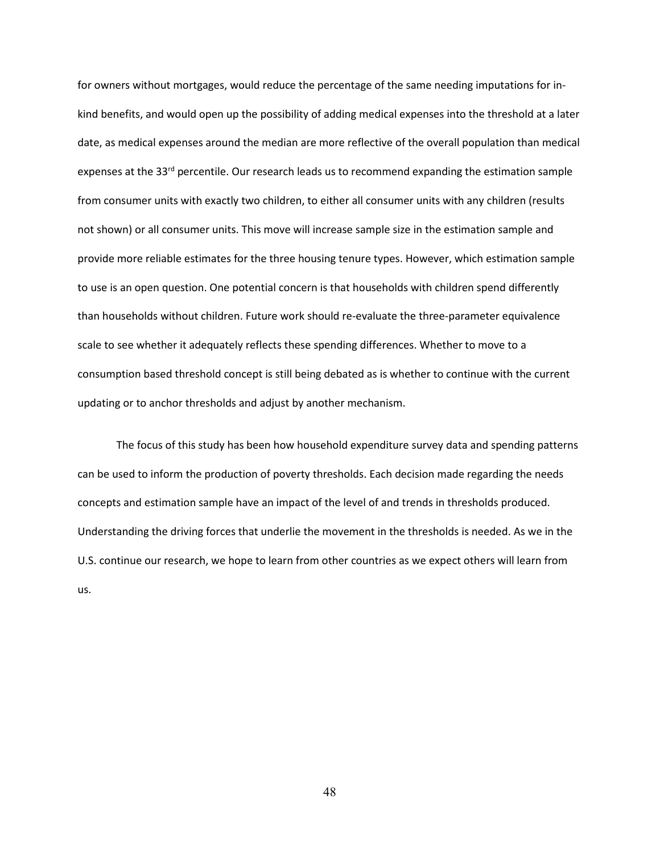for owners without mortgages, would reduce the percentage of the same needing imputations for inkind benefits, and would open up the possibility of adding medical expenses into the threshold at a later date, as medical expenses around the median are more reflective of the overall population than medical expenses at the 33<sup>rd</sup> percentile. Our research leads us to recommend expanding the estimation sample from consumer units with exactly two children, to either all consumer units with any children (results not shown) or all consumer units. This move will increase sample size in the estimation sample and provide more reliable estimates for the three housing tenure types. However, which estimation sample to use is an open question. One potential concern is that households with children spend differently than households without children. Future work should re-evaluate the three-parameter equivalence scale to see whether it adequately reflects these spending differences. Whether to move to a consumption based threshold concept is still being debated as is whether to continue with the current updating or to anchor thresholds and adjust by another mechanism.

The focus of this study has been how household expenditure survey data and spending patterns can be used to inform the production of poverty thresholds. Each decision made regarding the needs concepts and estimation sample have an impact of the level of and trends in thresholds produced. Understanding the driving forces that underlie the movement in the thresholds is needed. As we in the U.S. continue our research, we hope to learn from other countries as we expect others will learn from us.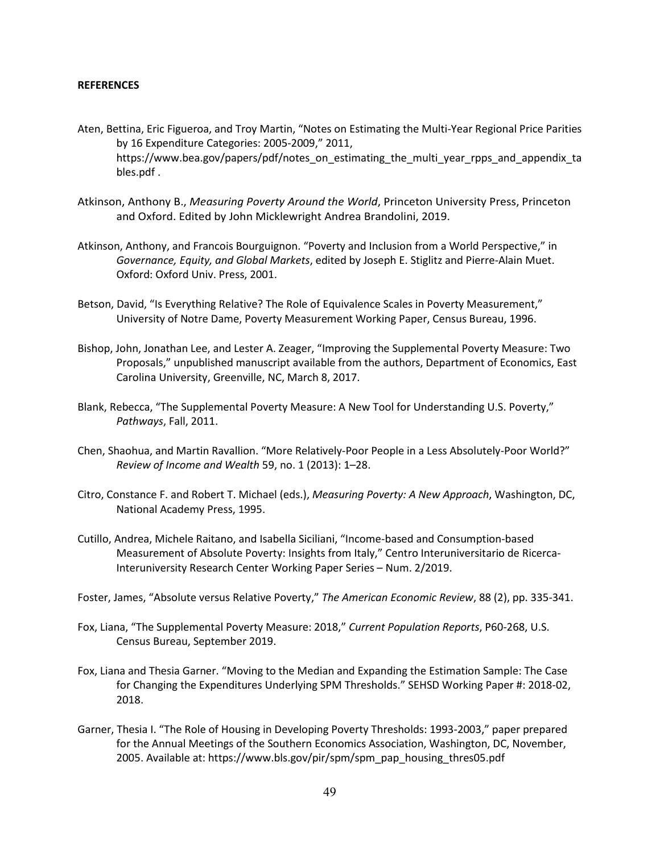#### **REFERENCES**

- Aten, Bettina, Eric Figueroa, and Troy Martin, "Notes on Estimating the Multi-Year Regional Price Parities by 16 Expenditure Categories: 2005-2009," 2011, https://www.bea.gov/papers/pdf/notes\_on\_estimating\_the\_multi\_year\_rpps\_and\_appendix\_ta bles.pdf .
- Atkinson, Anthony B., *Measuring Poverty Around the World*, Princeton University Press, Princeton and Oxford. Edited by John Micklewright Andrea Brandolini, 2019.
- Atkinson, Anthony, and Francois Bourguignon. "Poverty and Inclusion from a World Perspective," in *Governance, Equity, and Global Markets*, edited by Joseph E. Stiglitz and Pierre-Alain Muet. Oxford: Oxford Univ. Press, 2001.
- Betson, David, "Is Everything Relative? The Role of Equivalence Scales in Poverty Measurement," University of Notre Dame, Poverty Measurement Working Paper, Census Bureau, 1996.
- Bishop, John, Jonathan Lee, and Lester A. Zeager, "Improving the Supplemental Poverty Measure: Two Proposals," unpublished manuscript available from the authors, Department of Economics, East Carolina University, Greenville, NC, March 8, 2017.
- Blank, Rebecca, "The Supplemental Poverty Measure: A New Tool for Understanding U.S. Poverty," *Pathways*, Fall, 2011.
- Chen, Shaohua, and Martin Ravallion. "More Relatively-Poor People in a Less Absolutely-Poor World?" *Review of Income and Wealth* 59, no. 1 (2013): 1–28.
- Citro, Constance F. and Robert T. Michael (eds.), *Measuring Poverty: A New Approach*, Washington, DC, National Academy Press, 1995.
- Cutillo, Andrea, Michele Raitano, and Isabella Siciliani, "Income-based and Consumption-based Measurement of Absolute Poverty: Insights from Italy," Centro Interuniversitario de Ricerca-Interuniversity Research Center Working Paper Series – Num. 2/2019.
- Foster, James, "Absolute versus Relative Poverty," *The American Economic Review*, 88 (2), pp. 335-341.
- Fox, Liana, "The Supplemental Poverty Measure: 2018," *Current Population Reports*, P60-268, U.S. Census Bureau, September 2019.
- Fox, Liana and Thesia Garner. "Moving to the Median and Expanding the Estimation Sample: The Case for Changing the Expenditures Underlying SPM Thresholds." SEHSD Working Paper #: 2018-02, 2018.
- Garner, Thesia I. "The Role of Housing in Developing Poverty Thresholds: 1993-2003," paper prepared for the Annual Meetings of the Southern Economics Association, Washington, DC, November, 2005. Available at: https://www.bls.gov/pir/spm/spm\_pap\_housing\_thres05.pdf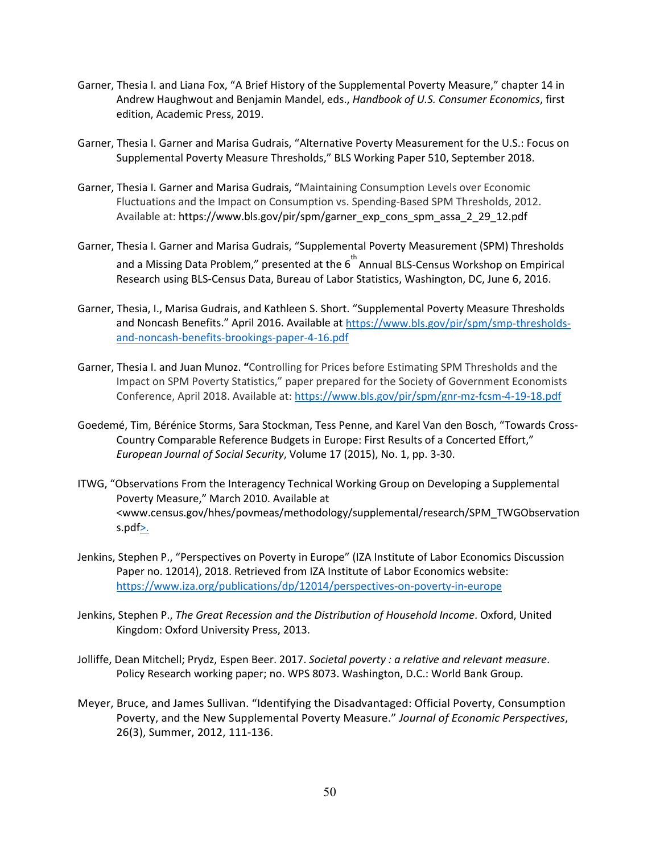- Garner, Thesia I. and Liana Fox, "A Brief History of the Supplemental Poverty Measure," chapter 14 in Andrew Haughwout and Benjamin Mandel, eds., *Handbook of U.S. Consumer Economics*, first edition, Academic Press, 2019.
- Garner, Thesia I. Garner and Marisa Gudrais, "Alternative Poverty Measurement for the U.S.: Focus on Supplemental Poverty Measure Thresholds," BLS Working Paper 510, September 2018.
- Garner, Thesia I. Garner and Marisa Gudrais, "Maintaining Consumption Levels over Economic Fluctuations and the Impact on Consumption vs. Spending-Based SPM Thresholds, 2012. Available at: https://www.bls.gov/pir/spm/garner\_exp\_cons\_spm\_assa\_2\_29\_12.pdf
- Garner, Thesia I. Garner and Marisa Gudrais, "Supplemental Poverty Measurement (SPM) Thresholds and a Missing Data Problem," presented at the  $6^{th}$  Annual BLS-Census Workshop on Empirical Research using BLS-Census Data, Bureau of Labor Statistics, Washington, DC, June 6, 2016.
- Garner, Thesia, I., Marisa Gudrais, and Kathleen S. Short. "Supplemental Poverty Measure Thresholds and Noncash Benefits." April 2016. Available a[t https://www.bls.gov/pir/spm/smp-thresholds](https://www.bls.gov/pir/spm/smp-thresholds-and-noncash-benefits-brookings-paper-4-16.pdf)[and-noncash-benefits-brookings-paper-4-16.pdf](https://www.bls.gov/pir/spm/smp-thresholds-and-noncash-benefits-brookings-paper-4-16.pdf)
- Garner, Thesia I. and Juan Munoz. **"**Controlling for Prices before Estimating SPM Thresholds and the Impact on SPM Poverty Statistics," paper prepared for the Society of Government Economists Conference, April 2018. Available at:<https://www.bls.gov/pir/spm/gnr-mz-fcsm-4-19-18.pdf>
- Goedemé, Tim, Bérénice Storms, Sara Stockman, Tess Penne, and Karel Van den Bosch, "Towards Cross-Country Comparable Reference Budgets in Europe: First Results of a Concerted Effort," *European Journal of Social Security*, Volume 17 (2015), No. 1, pp. 3-30.
- ITWG, "Observations From the Interagency Technical Working Group on Developing a Supplemental Poverty Measure," March 2010. Available at <www.census.gov/hhes/povmeas/methodology/supplemental/research/SPM\_TWGObservation s.pdf $\geq$ .
- Jenkins, Stephen P., "Perspectives on Poverty in Europe" (IZA Institute of Labor Economics Discussion Paper no. 12014), 2018. Retrieved from IZA Institute of Labor Economics website: <https://www.iza.org/publications/dp/12014/perspectives-on-poverty-in-europe>
- Jenkins, Stephen P., *The Great Recession and the Distribution of Household Income*. Oxford, United Kingdom: Oxford University Press, 2013.
- Jolliffe, Dean Mitchell; Prydz, Espen Beer. 2017. *Societal poverty : a relative and relevant measure*. Policy Research working paper; no. WPS 8073. Washington, D.C.: World Bank Group.
- Meyer, Bruce, and James Sullivan. "Identifying the Disadvantaged: Official Poverty, Consumption Poverty, and the New Supplemental Poverty Measure." *Journal of Economic Perspectives*, 26(3), Summer, 2012, 111-136.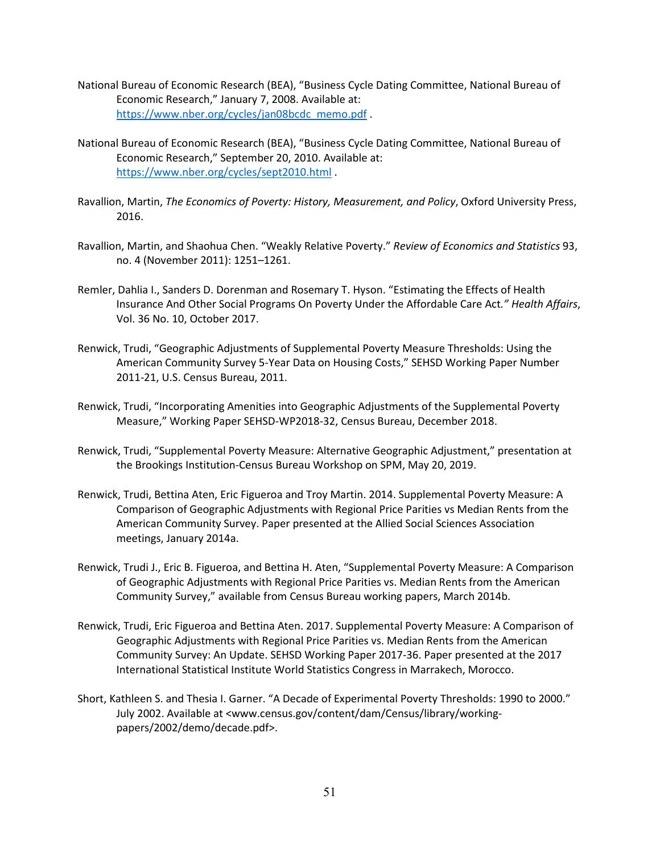- National Bureau of Economic Research (BEA), "Business Cycle Dating Committee, National Bureau of Economic Research," January 7, 2008. Available at: [https://www.nber.org/cycles/jan08bcdc\\_memo.pdf](https://www.nber.org/cycles/jan08bcdc_memo.pdf) .
- National Bureau of Economic Research (BEA), "Business Cycle Dating Committee, National Bureau of Economic Research," September 20, 2010. Available at: <https://www.nber.org/cycles/sept2010.html> .
- Ravallion, Martin, *The Economics of Poverty: History, Measurement, and Policy*, Oxford University Press, 2016.
- Ravallion, Martin, and Shaohua Chen. "Weakly Relative Poverty." *Review of Economics and Statistics* 93, no. 4 (November 2011): 1251–1261.
- Remler, Dahlia I., Sanders D. Dorenman and Rosemary T. Hyson. "Estimating the Effects of Health Insurance And Other Social Programs On Poverty Under the Affordable Care Act*." Health Affairs*, Vol. 36 No. 10, October 2017.
- Renwick, Trudi, "Geographic Adjustments of Supplemental Poverty Measure Thresholds: Using the American Community Survey 5-Year Data on Housing Costs," SEHSD Working Paper Number 2011-21, U.S. Census Bureau, 2011.
- Renwick, Trudi, "Incorporating Amenities into Geographic Adjustments of the Supplemental Poverty Measure," Working Paper SEHSD-WP2018-32, Census Bureau, December 2018.
- Renwick, Trudi, "Supplemental Poverty Measure: Alternative Geographic Adjustment," presentation at the Brookings Institution-Census Bureau Workshop on SPM, May 20, 2019.
- Renwick, Trudi, Bettina Aten, Eric Figueroa and Troy Martin. 2014. Supplemental Poverty Measure: A Comparison of Geographic Adjustments with Regional Price Parities vs Median Rents from the American Community Survey. Paper presented at the Allied Social Sciences Association meetings, January 2014a.
- Renwick, Trudi J., Eric B. Figueroa, and Bettina H. Aten, "Supplemental Poverty Measure: A Comparison of Geographic Adjustments with Regional Price Parities vs. Median Rents from the American Community Survey," available from Census Bureau working papers, March 2014b.
- Renwick, Trudi, Eric Figueroa and Bettina Aten. 2017. Supplemental Poverty Measure: A Comparison of Geographic Adjustments with Regional Price Parities vs. Median Rents from the American Community Survey: An Update. SEHSD Working Paper 2017-36. Paper presented at the 2017 International Statistical Institute World Statistics Congress in Marrakech, Morocco.
- Short, Kathleen S. and Thesia I. Garner. "A Decade of Experimental Poverty Thresholds: 1990 to 2000." July 2002. Available at <www.census.gov/content/dam/Census/library/workingpapers/2002/demo/decade.pdf>.